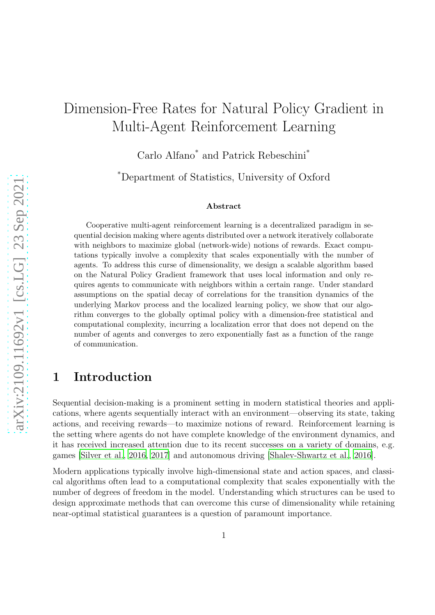# Dimension-Free Rates for Natural Policy Gradient in Multi-Agent Reinforcement Learning

Carlo Alfano\* and Patrick Rebeschini\*

\*Department of Statistics, University of Oxford

#### Abstract

Cooperative multi-agent reinforcement learning is a decentralized paradigm in sequential decision making where agents distributed over a network iteratively collaborate with neighbors to maximize global (network-wide) notions of rewards. Exact computations typically involve a complexity that scales exponentially with the number of agents. To address this curse of dimensionality, we design a scalable algorithm based on the Natural Policy Gradient framework that uses local information and only requires agents to communicate with neighbors within a certain range. Under standard assumptions on the spatial decay of correlations for the transition dynamics of the underlying Markov process and the localized learning policy, we show that our algorithm converges to the globally optimal policy with a dimension-free statistical and computational complexity, incurring a localization error that does not depend on the number of agents and converges to zero exponentially fast as a function of the range of communication.

### 1 Introduction

Sequential decision-making is a prominent setting in modern statistical theories and applications, where agents sequentially interact with an environment—observing its state, taking actions, and receiving rewards—to maximize notions of reward. Reinforcement learning is the setting where agents do not have complete knowledge of the environment dynamics, and it has received increased attention due to its recent successes on a variety of domains, e.g. games [\[Silver et al., 2016,](#page-15-0) [2017](#page-16-0)] and autonomous driving [\[Shalev-Shwartz et al.](#page-15-1), [2016\]](#page-15-1).

Modern applications typically involve high-dimensional state and action spaces, and classical algorithms often lead to a computational complexity that scales exponentially with the number of degrees of freedom in the model. Understanding which structures can be used to design approximate methods that can overcome this curse of dimensionality while retaining near-optimal statistical guarantees is a question of paramount importance.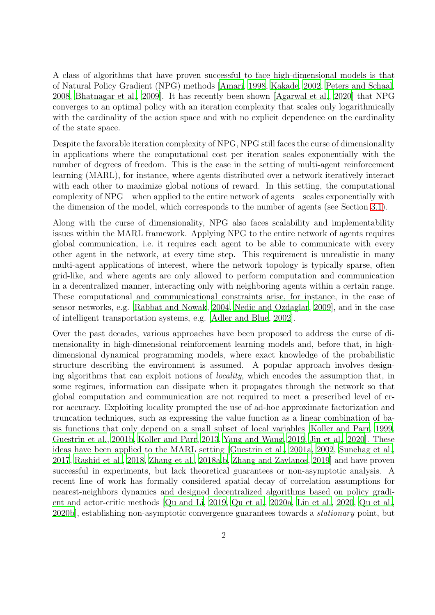A class of algorithms that have proven successful to face high-dimensional models is that of Natural Policy Gradient (NPG) methods [\[Amari, 1998](#page-13-0), [Kakade](#page-14-0), [2002,](#page-14-0) [Peters and Schaal,](#page-15-2) [2008,](#page-15-2) [Bhatnagar et al., 2009\]](#page-13-1). It has recently been shown [\[Agarwal](#page-13-2) et al., [2020\]](#page-13-2) that NPG converges to an optimal policy with an iteration complexity that scales only logarithmically with the cardinality of the action space and with no explicit dependence on the cardinality of the state space.

Despite the favorable iteration complexity of NPG, NPG still faces the curse of dimensionality in applications where the computational cost per iteration scales exponentially with the number of degrees of freedom. This is the case in the setting of multi-agent reinforcement learning (MARL), for instance, where agents distributed over a network iteratively interact with each other to maximize global notions of reward. In this setting, the computational complexity of NPG—when applied to the entire network of agents—scales exponentially with the dimension of the model, which corresponds to the number of agents (see Section [3.1\)](#page-8-0).

Along with the curse of dimensionality, NPG also faces scalability and implementability issues within the MARL framework. Applying NPG to the entire network of agents requires global communication, i.e. it requires each agent to be able to communicate with every other agent in the network, at every time step. This requirement is unrealistic in many multi-agent applications of interest, where the network topology is typically sparse, often grid-like, and where agents are only allowed to perform computation and communication in a decentralized manner, interacting only with neighboring agents within a certain range. These computational and communicational constraints arise, for instance, in the case of sensor networks, e.g. [\[Rabbat and Nowak, 2004,](#page-15-3) [Nedic and Ozdaglar](#page-15-4), [2009\]](#page-15-4), and in the case of intelligent transportation systems, e.g. [\[Adler and Blue](#page-12-0), [2002\]](#page-12-0).

Over the past decades, various approaches have been proposed to address the curse of dimensionality in high-dimensional reinforcement learning models and, before that, in highdimensional dynamical programming models, where exact knowledge of the probabilistic structure describing the environment is assumed. A popular approach involves designing algorithms that can exploit notions of locality, which encodes the assumption that, in some regimes, information can dissipate when it propagates through the network so that global computation and communication are not required to meet a prescribed level of error accuracy. Exploiting locality prompted the use of ad-hoc approximate factorization and truncation techniques, such as expressing the value function as a linear combination of basis functions that only depend on a small subset of local variables [\[Koller and Parr](#page-14-1), [1999,](#page-14-1) [Guestrin et al.](#page-14-2), [2001b,](#page-14-2) [Koller and Parr](#page-14-3), [2013,](#page-14-3) [Yang and Wang](#page-16-1), [2019,](#page-16-1) [Jin et al., 2020\]](#page-14-4). These ideas have been applied to the MARL setting [\[Guestrin et al., 2001a,](#page-14-5) [2002,](#page-14-6) [Sunehag et al.,](#page-16-2) [2017,](#page-16-2) [Rashid et al.](#page-15-5), [2018](#page-15-5), [Zhang et al.](#page-16-3), [2018a](#page-16-3)[,b,](#page-16-4) [Zhang and Zavlanos,](#page-16-5) [2019\]](#page-16-5) and have proven successful in experiments, but lack theoretical guarantees or non-asymptotic analysis. A recent line of work has formally considered spatial decay of correlation assumptions for nearest-neighbors dynamics and designed decentralized algorithms based on policy gradient and actor-critic methods [\[Qu and Li, 2019](#page-15-6), [Qu et al.](#page-15-7), [2020a,](#page-15-7) [Lin et](#page-14-7) al., [2020,](#page-14-7) [Qu et al.,](#page-15-8) [2020b\]](#page-15-8), establishing non-asymptotic convergence guarantees towards a stationary point, but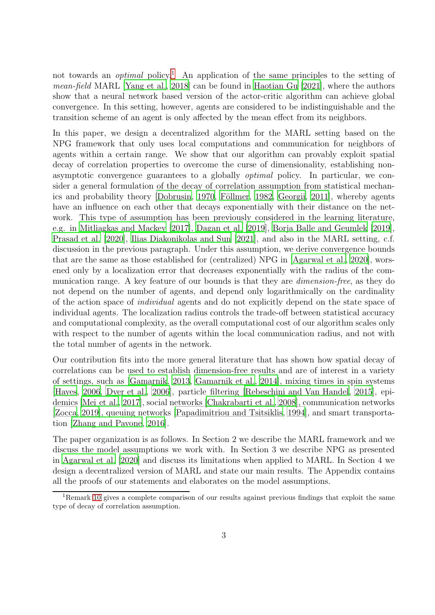not towards an *optimal* policy.<sup>[1](#page-2-0)</sup> An application of the same principles to the setting of mean-field MARL [\[Yang et al.](#page-16-6), [2018\]](#page-16-6) can be found in [Haotian Gu \[2021\]](#page-14-8), where the authors show that a neural network based version of the actor-critic algorithm can achieve global convergence. In this setting, however, agents are considered to be indistinguishable and the transition scheme of an agent is only affected by the mean effect from its neighbors.

In this paper, we design a decentralized algorithm for the MARL setting based on the NPG framework that only uses local computations and communication for neighbors of agents within a certain range. We show that our algorithm can provably exploit spatial decay of correlation properties to overcome the curse of dimensionality, establishing nonasymptotic convergence guarantees to a globally optimal policy. In particular, we consider a general formulation of the decay of correlation assumption from statistical mechan-ics and probability theory [\[Dobrusin, 1970,](#page-13-3) Föllmer, 1982, [Georgii,](#page-14-9) [2011](#page-14-9)], whereby agents have an influence on each other that decays exponentially with their distance on the network. This type of assumption has been previously considered in the learning literature, e.g. in [Mitliagkas and Mackey \[2017\]](#page-14-10), [Dagan et al. \[2019](#page-13-5)], [Borja Balle and Geumlek \[2019\]](#page-13-6), [Prasad et al. \[2020\]](#page-15-9), [Ilias Diakonikolas and Sun \[2021](#page-14-11)], and also in the MARL setting, c.f. discussion in the previous paragraph. Under this assumption, we derive convergence bounds that are the same as those established for (centralized) NPG in [\[Agarwal et al., 2020\]](#page-13-2), worsened only by a localization error that decreases exponentially with the radius of the communication range. A key feature of our bounds is that they are dimension-free, as they do not depend on the number of agents, and depend only logarithmically on the cardinality of the action space of individual agents and do not explicitly depend on the state space of individual agents. The localization radius controls the trade-off between statistical accuracy and computational complexity, as the overall computational cost of our algorithm scales only with respect to the number of agents within the local communication radius, and not with the total number of agents in the network.

Our contribution fits into the more general literature that has shown how spatial decay of correlations can be used to establish dimension-free results and are of interest in a variety of settings, such as [\[Gamarnik, 2013,](#page-13-7) [Gamarnik et al.](#page-13-8), [2014](#page-13-8)], mixing times in spin systems [\[Hayes](#page-14-12), [2006](#page-14-12), [Dyer et al.](#page-13-9), [2006\]](#page-13-9), particle filtering [\[Rebeschini and Van Handel](#page-15-10), [2015](#page-15-10)], epidemics [\[Mei et al., 2017](#page-14-13)], social networks [\[Chakrabarti et al.](#page-13-10), [2008\]](#page-13-10), communication networks [\[Zocca, 2019\]](#page-16-7), queuing networks [\[Papadimitriou and Tsitsiklis, 1994\]](#page-15-11), and smart transportation [\[Zhang and Pavone](#page-16-8), [2016\]](#page-16-8).

The paper organization is as follows. In Section 2 we describe the MARL framework and we discuss the model assumptions we work with. In Section 3 we describe NPG as presented in [Agarwal et al. \[2020\]](#page-13-2) and discuss its limitations when applied to MARL. In Section 4 we design a decentralized version of MARL and state our main results. The Appendix contains all the proofs of our statements and elaborates on the model assumptions.

<span id="page-2-0"></span><sup>1</sup>Remark [10](#page-11-0) gives a complete comparison of our results against previous findings that exploit the same type of decay of correlation assumption.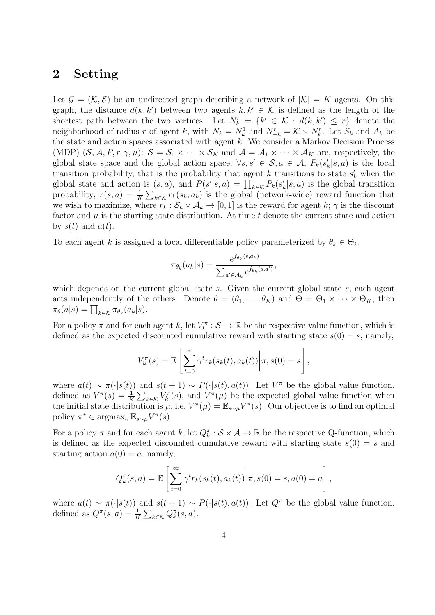#### <span id="page-3-0"></span>2 Setting

Let  $\mathcal{G} = (\mathcal{K}, \mathcal{E})$  be an undirected graph describing a network of  $|\mathcal{K}| = K$  agents. On this graph, the distance  $d(k, k')$  between two agents  $k, k' \in \mathcal{K}$  is defined as the length of the shortest path between the two vertices. Let  $N_k^r = \{k' \in \mathcal{K} : d(k, k') \leq r\}$  denote the neighborhood of radius r of agent k, with  $N_k = N_k^1$  and  $N_{-k}^r = \mathcal{K} \setminus N_k^r$ . Let  $S_k$  and  $A_k$  be the state and action spaces associated with agent  $k$ . We consider a Markov Decision Process (MDP)  $(S, \mathcal{A}, P, r, \gamma, \mu)$ :  $S = S_1 \times \cdots \times S_K$  and  $\mathcal{A} = \mathcal{A}_1 \times \cdots \times \mathcal{A}_K$  are, respectively, the global state space and the global action space;  $\forall s, s' \in S, a \in A, P_k(s'_k|s, a)$  is the local transition probability, that is the probability that agent k transitions to state  $s'_{k}$  when the global state and action is  $(s, a)$ , and  $P(s'|s, a) = \prod_{k \in \mathcal{K}} P_k(s'_k|s, a)$  is the global transition probability;  $r(s, a) = \frac{1}{K} \sum_{k \in \mathcal{K}} r_k(s_k, a_k)$  is the global (network-wide) reward function that we wish to maximize, where  $r_k : \mathcal{S}_k \times \mathcal{A}_k \to [0, 1]$  is the reward for agent k;  $\gamma$  is the discount factor and  $\mu$  is the starting state distribution. At time t denote the current state and action by  $s(t)$  and  $a(t)$ .

To each agent k is assigned a local differentiable policy parameterized by  $\theta_k \in \Theta_k$ ,

$$
\pi_{\theta_k}(a_k|s) = \frac{e^{f_{\theta_k}(s,a_k)}}{\sum_{a' \in \mathcal{A}_k} e^{f_{\theta_k}(s,a')}},
$$

which depends on the current global state s. Given the current global state s, each agent acts independently of the others. Denote  $\theta = (\theta_1, \dots, \theta_K)$  and  $\Theta = \Theta_1 \times \dots \times \Theta_K$ , then  $\pi_{\theta}(a|s) = \prod_{k \in \mathcal{K}} \pi_{\theta_k}(a_k|s).$ 

For a policy  $\pi$  and for each agent k, let  $V_k^{\pi}: \mathcal{S} \to \mathbb{R}$  be the respective value function, which is defined as the expected discounted cumulative reward with starting state  $s(0) = s$ , namely,

$$
V_k^{\pi}(s) = \mathbb{E}\left[\sum_{t=0}^{\infty} \gamma^t r_k(s_k(t), a_k(t)) \middle| \pi, s(0) = s\right],
$$

where  $a(t) \sim \pi(\cdot|s(t))$  and  $s(t+1) \sim P(\cdot|s(t), a(t))$ . Let  $V^{\pi}$  be the global value function, defined as  $V^{\pi}(s) = \frac{1}{K} \sum_{k \in \mathcal{K}} V^{\pi}(s)$ , and  $V^{\pi}(\mu)$  be the expected global value function when the initial state distribution is  $\mu$ , i.e.  $V^{\pi}(\mu) = \mathbb{E}_{s \sim \mu} V^{\pi}(s)$ . Our objective is to find an optimal policy  $\pi^* \in \operatorname{argmax}_{\pi} \mathbb{E}_{s \sim \mu} V^{\pi}(s)$ .

For a policy  $\pi$  and for each agent k, let  $Q_k^{\pi}$  :  $S \times \mathcal{A} \to \mathbb{R}$  be the respective Q-function, which is defined as the expected discounted cumulative reward with starting state  $s(0) = s$  and starting action  $a(0) = a$ , namely,

$$
Q_k^{\pi}(s, a) = \mathbb{E}\left[\sum_{t=0}^{\infty} \gamma^t r_k(s_k(t), a_k(t)) \middle| \pi, s(0) = s, a(0) = a\right],
$$

where  $a(t) \sim \pi(\cdot|s(t))$  and  $s(t+1) \sim P(\cdot|s(t), a(t))$ . Let  $Q^{\pi}$  be the global value function, defined as  $Q^{\pi}(s, a) = \frac{1}{K} \sum_{k \in \mathcal{K}} Q_k^{\pi}(s, a)$ .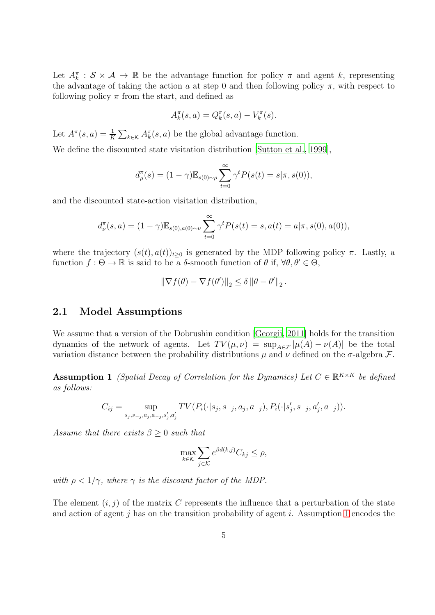Let  $A_k^{\pi}$  :  $S \times A \to \mathbb{R}$  be the advantage function for policy  $\pi$  and agent k, representing the advantage of taking the action a at step 0 and then following policy  $\pi$ , with respect to following policy  $\pi$  from the start, and defined as

$$
A_k^{\pi}(s, a) = Q_k^{\pi}(s, a) - V_k^{\pi}(s).
$$

Let  $A^{\pi}(s, a) = \frac{1}{K} \sum_{k \in \mathcal{K}} A^{\pi}_{k}(s, a)$  be the global advantage function.

We define the discounted state visitation distribution [\[Sutton et al.](#page-16-9), [1999\]](#page-16-9),

$$
d_{\rho}^{\pi}(s) = (1 - \gamma) \mathbb{E}_{s(0) \sim \rho} \sum_{t=0}^{\infty} \gamma^{t} P(s(t) = s | \pi, s(0)),
$$

and the discounted state-action visitation distribution,

$$
d_{\nu}^{\pi}(s, a) = (1 - \gamma) \mathbb{E}_{s(0), a(0) \sim \nu} \sum_{t=0}^{\infty} \gamma^{t} P(s(t) = s, a(t) = a | \pi, s(0), a(0)),
$$

where the trajectory  $(s(t), a(t))_{t>0}$  is generated by the MDP following policy π. Lastly, a function  $f : \Theta \to \mathbb{R}$  is said to be a  $\delta$ -smooth function of  $\theta$  if,  $\forall \theta, \theta' \in \Theta$ ,

$$
\|\nabla f(\theta) - \nabla f(\theta')\|_2 \le \delta \|\theta - \theta'\|_2.
$$

#### 2.1 Model Assumptions

We assume that a version of the Dobrushin condition [\[Georgii](#page-14-9), [2011](#page-14-9)] holds for the transition dynamics of the network of agents. Let  $TV(\mu, \nu) = \sup_{A \in \mathcal{F}} |\mu(A) - \nu(A)|$  be the total variation distance between the probability distributions  $\mu$  and  $\nu$  defined on the  $\sigma$ -algebra  $\mathcal{F}$ .

**Assumption 1** (Spatial Decay of Correlation for the Dynamics) Let  $C \in \mathbb{R}^{K \times K}$  be defined as follows:

$$
C_{ij} = \sup_{s_j, s_{-j}, a_j, a_{-j}, s'_j, a'_j} TV(P_i(\cdot | s_j, s_{-j}, a_j, a_{-j}), P_i(\cdot | s'_j, s_{-j}, a'_j, a_{-j})).
$$

Assume that there exists  $\beta \geq 0$  such that

<span id="page-4-0"></span>
$$
\max_{k \in \mathcal{K}} \sum_{j \in \mathcal{K}} e^{\beta d(k,j)} C_{kj} \le \rho,
$$

with  $\rho < 1/\gamma$ , where  $\gamma$  is the discount factor of the MDP.

The element  $(i, j)$  of the matrix C represents the influence that a perturbation of the state and action of agent j has on the transition probability of agent i. Assumption [1](#page-4-0) encodes the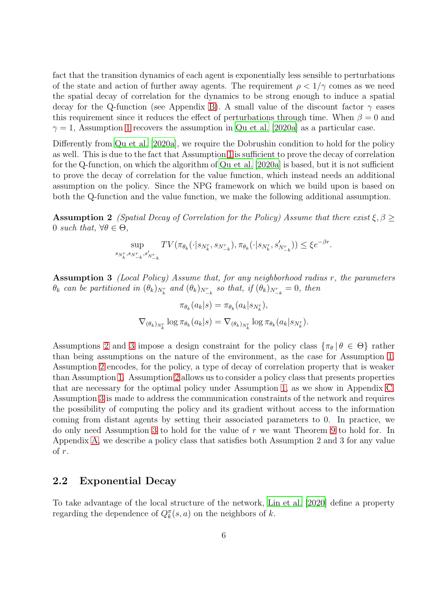fact that the transition dynamics of each agent is exponentially less sensible to perturbations of the state and action of further away agents. The requirement  $\rho < 1/\gamma$  comes as we need the spatial decay of correlation for the dynamics to be strong enough to induce a spatial decay for the Q-function (see Appendix [B\)](#page-18-0). A small value of the discount factor  $\gamma$  eases this requirement since it reduces the effect of perturbations through time. When  $\beta = 0$  and  $\gamma = 1$  $\gamma = 1$ , Assumption 1 recovers the assumption in [Qu et al. \[2020a\]](#page-15-7) as a particular case.

Differently from [Qu et al. \[2020a\]](#page-15-7), we require the Dobrushin condition to hold for the policy as well. This is due to the fact that Assumption [1](#page-4-0) is sufficient to prove the decay of correlation for the Q-function, on which the algorithm of [Qu et al. \[2020a](#page-15-7)] is based, but it is not sufficient to prove the decay of correlation for the value function, which instead needs an additional assumption on the policy. Since the NPG framework on which we build upon is based on both the Q-function and the value function, we make the following additional assumption.

**Assumption 2** (Spatial Decay of Correlation for the Policy) Assume that there exist  $\xi, \beta \geq 0$ 0 such that,  $\forall \theta \in \Theta$ ,

$$
\sup_{N_k^r, s_{N_{-k}^r}, s'_{N_{-k}^r}} TV(\pi_{\theta_k}(\cdot | s_{N_k^r}, s_{N_{-k}^r}), \pi_{\theta_k}(\cdot | s_{N_k^r}, s'_{N_{-k}^r})) \le \xi e^{-\beta r}.
$$

<span id="page-5-1"></span>Assumption 3 *(Local Policy) Assume that, for any neighborhood radius r, the parameters*  $\theta_k$  can be partitioned in  $(\theta_k)_{N_k^r}$  and  $(\theta_k)_{N_{-k}^r}$  so that, if  $(\theta_k)_{N_{-k}^r} = 0$ , then

<span id="page-5-0"></span>
$$
\pi_{\theta_k}(a_k|s) = \pi_{\theta_k}(a_k|s_{N_k^r}),
$$
  

$$
\nabla_{(\theta_k)_{N_k^r}} \log \pi_{\theta_k}(a_k|s) = \nabla_{(\theta_k)_{N_k^r}} \log \pi_{\theta_k}(a_k|s_{N_k^r}).
$$

Assumptions [2](#page-5-0) and [3](#page-5-1) impose a design constraint for the policy class  $\{\pi_\theta | \theta \in \Theta\}$  rather than being assumptions on the nature of the environment, as the case for Assumption [1.](#page-4-0) Assumption [2](#page-5-0) encodes, for the policy, a type of decay of correlation property that is weaker than Assumption [1.](#page-4-0) Assumption [2](#page-5-0) allows us to consider a policy class that presents properties that are necessary for the optimal policy under Assumption [1,](#page-4-0) as we show in Appendix [C.](#page-24-0) Assumption [3](#page-5-1) is made to address the communication constraints of the network and requires the possibility of computing the policy and its gradient without access to the information coming from distant agents by setting their associated parameters to 0. In practice, we do only need Assumption [3](#page-5-1) to hold for the value of r we want Theorem [9](#page-9-0) to hold for. In Appendix [A,](#page-17-0) we describe a policy class that satisfies both Assumption 2 and 3 for any value of r.

#### 2.2 Exponential Decay

 $\boldsymbol{s}$ 

To take advantage of the local structure of the network, [Lin et al. \[2020](#page-14-7)] define a property regarding the dependence of  $Q_k^{\pi}(s, a)$  on the neighbors of k.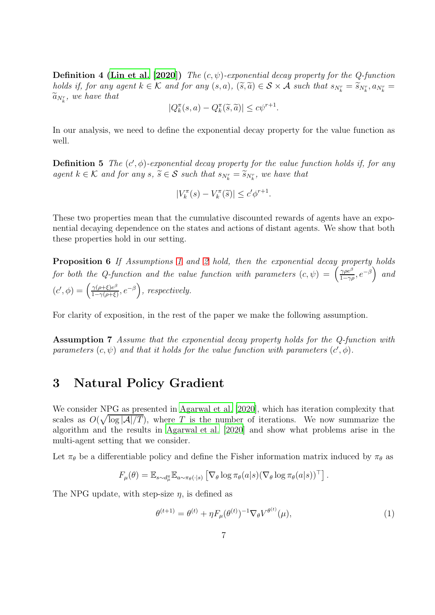**Definition 4 [\(Lin et al. \[2020](#page-14-7)])** The  $(c, \psi)$ -exponential decay property for the Q-function holds if, for any agent  $k \in \mathcal{K}$  and for any  $(s, a)$ ,  $(\tilde{s}, \tilde{a}) \in \mathcal{S} \times \mathcal{A}$  such that  $s_{N_k^r} = \tilde{s}_{N_k^r}, a_{N_k^r} = \tilde{s}_{N_k^r}$  $\widetilde{a}_{N_k^r},$  we have that

$$
|Q_k^{\pi}(s, a) - Q_k^{\pi}(\widetilde{s}, \widetilde{a})| \leq c\psi^{r+1}.
$$

In our analysis, we need to define the exponential decay property for the value function as well.

**Definition 5** The  $(c', \phi)$ -exponential decay property for the value function holds if, for any agent  $k \in \mathcal{K}$  and for any  $s, \tilde{s} \in \mathcal{S}$  such that  $s_{N_k^r} = \tilde{s}_{N_k^r}$ , we have that

<span id="page-6-2"></span>
$$
|V_k^{\pi}(s) - V_k^{\pi}(\widetilde{s})| \le c' \phi^{r+1}.
$$

These two properties mean that the cumulative discounted rewards of agents have an exponential decaying dependence on the states and actions of distant agents. We show that both these properties hold in our setting.

Proposition 6 If Assumptions [1](#page-4-0) and [2](#page-5-0) hold, then the exponential decay property holds for both the Q-function and the value function with parameters  $(c, \psi) = \begin{pmatrix} \frac{\gamma \rho e^{\beta}}{1-\gamma \rho e^{\beta}} & c \end{pmatrix}$  $\left(\frac{\gamma \rho e^{\beta}}{1-\gamma \rho}, e^{-\beta}\right)$  and  $(c', \phi) = \left(\frac{\gamma(\rho + \xi)e^{\beta}}{1 - \gamma(\rho + \xi)}\right)$  $\frac{\gamma(\rho+\xi)e^{\beta}}{1-\gamma(\rho+\xi)}, e^{-\beta}\bigg)$ , respectively.

<span id="page-6-1"></span>For clarity of exposition, in the rest of the paper we make the following assumption.

Assumption 7 Assume that the exponential decay property holds for the Q-function with parameters  $(c, \psi)$  and that it holds for the value function with parameters  $(c', \phi)$ .

### 3 Natural Policy Gradient

We consider NPG as presented in [Agarwal et al. \[2020](#page-13-2)], which has iteration complexity that scales as  $O(\sqrt{\log |A|/T})$ , where T is the number of iterations. We now summarize the algorithm and the results in [Agarwal et al. \[2020](#page-13-2)] and show what problems arise in the multi-agent setting that we consider.

Let  $\pi_{\theta}$  be a differentiable policy and define the Fisher information matrix induced by  $\pi_{\theta}$  as

$$
F_{\mu}(\theta) = \mathbb{E}_{s \sim d_{\mu}^{\pi}} \mathbb{E}_{a \sim \pi_{\theta}(\cdot | s)} \left[ \nabla_{\theta} \log \pi_{\theta}(a | s) (\nabla_{\theta} \log \pi_{\theta}(a | s))^{\top} \right].
$$

The NPG update, with step-size  $\eta$ , is defined as

<span id="page-6-0"></span>
$$
\theta^{(t+1)} = \theta^{(t)} + \eta F_{\mu}(\theta^{(t)})^{-1} \nabla_{\theta} V^{\theta^{(t)}}(\mu), \tag{1}
$$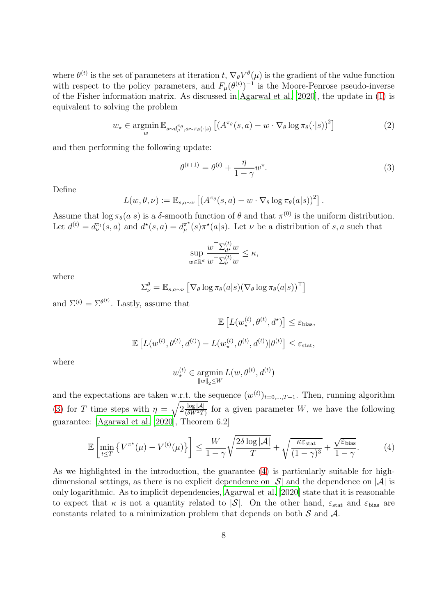where  $\theta^{(t)}$  is the set of parameters at iteration t,  $\nabla_{\theta} V^{\theta}(\mu)$  is the gradient of the value function with respect to the policy parameters, and  $F_{\mu}(\theta^{(t)})^{-1}$  is the Moore-Penrose pseudo-inverse of the Fisher information matrix. As discussed in [Agarwal et al. \[2020\]](#page-13-2), the update in [\(1\)](#page-6-0) is equivalent to solving the problem

$$
w_{\star} \in \underset{w}{\text{argmin}} \mathbb{E}_{s \sim d_{\mu}^{\pi_{\theta}}, a \sim \pi_{\theta}(\cdot | s)} \left[ \left( A^{\pi_{\theta}}(s, a) - w \cdot \nabla_{\theta} \log \pi_{\theta}(\cdot | s) \right)^{2} \right] \tag{2}
$$

and then performing the following update:

<span id="page-7-0"></span>
$$
\theta^{(t+1)} = \theta^{(t)} + \frac{\eta}{1-\gamma} w^*.
$$
\n(3)

Define

$$
L(w, \theta, \nu) := \mathbb{E}_{s, a \sim \nu} \left[ \left( A^{\pi_{\theta}}(s, a) - w \cdot \nabla_{\theta} \log \pi_{\theta}(a|s) \right)^{2} \right].
$$

Assume that  $\log \pi_{\theta}(a|s)$  is a  $\delta$ -smooth function of  $\theta$  and that  $\pi^{(0)}$  is the uniform distribution. Let  $d^{(t)} = d^{\pi_t}_\nu(s, a)$  and  $d^\star(s, a) = d^{\pi^\star}_\mu$  $\pi^*(s)\pi^*(a|s)$ . Let  $\nu$  be a distribution of s, a such that

$$
\sup_{w \in \mathbb{R}^d} \frac{w^\top \Sigma_{d^\star}^{(t)} w}{w^\top \Sigma_{\nu}^{(t)} w} \le \kappa,
$$

where

$$
\Sigma_{\nu}^{\theta} = \mathbb{E}_{s,a \sim \nu} \left[ \nabla_{\theta} \log \pi_{\theta}(a|s) (\nabla_{\theta} \log \pi_{\theta}(a|s))^{\top} \right]
$$

and  $\Sigma^{(t)} = \Sigma^{\theta^{(t)}}$ . Lastly, assume that

$$
\mathbb{E}\left[L(w_{\star}^{(t)}, \theta^{(t)}, d^{\star})\right] \leq \varepsilon_{\text{bias}},
$$
  

$$
\mathbb{E}\left[L(w^{(t)}, \theta^{(t)}, d^{(t)}) - L(w_{\star}^{(t)}, \theta^{(t)}, d^{(t)}) | \theta^{(t)}\right] \leq \varepsilon_{\text{stat}},
$$

where

$$
w_{\star}^{(t)} \in \operatorname*{argmin}_{\|w\|_2 \leq W} L(w, \theta^{(t)}, d^{(t)})
$$

and the expectations are taken w.r.t. the sequence  $(w^{(t)})_{t=0,\dots,T-1}$ . Then, running algorithm [\(3\)](#page-7-0) for T time steps with  $\eta = \sqrt{2 \frac{\log |\mathcal{A}|}{(\delta W^2 T)}}$  for a given parameter W, we have the following guarantee: [\[Agarwal et al. \[2020](#page-13-2)], Theorem 6.2]

<span id="page-7-1"></span>
$$
\mathbb{E}\left[\min_{t\leq T} \left\{ V^{\pi^*}(\mu) - V^{(t)}(\mu) \right\} \right] \leq \frac{W}{1-\gamma} \sqrt{\frac{2\delta \log |\mathcal{A}|}{T}} + \sqrt{\frac{\kappa \varepsilon_{\text{stat}}}{(1-\gamma)^3}} + \frac{\sqrt{\varepsilon_{\text{bias}}}}{1-\gamma}.
$$
 (4)

As we highlighted in the introduction, the guarantee [\(4\)](#page-7-1) is particularly suitable for highdimensional settings, as there is no explicit dependence on  $|S|$  and the dependence on  $|A|$  is only logarithmic. As to implicit dependencies, [Agarwal et al. \[2020\]](#page-13-2) state that it is reasonable to expect that  $\kappa$  is not a quantity related to  $|\mathcal{S}|$ . On the other hand,  $\varepsilon_{\text{stat}}$  and  $\varepsilon_{\text{bias}}$  are constants related to a minimization problem that depends on both  $S$  and  $A$ .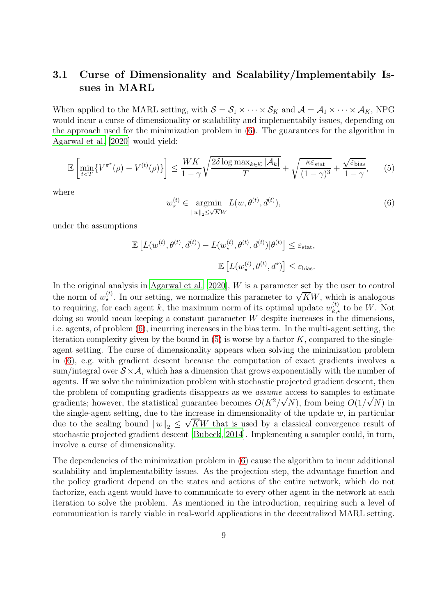#### <span id="page-8-0"></span>3.1 Curse of Dimensionality and Scalability/Implementabily Issues in MARL

When applied to the MARL setting, with  $S = S_1 \times \cdots \times S_K$  and  $\mathcal{A} = \mathcal{A}_1 \times \cdots \times \mathcal{A}_K$ , NPG would incur a curse of dimensionality or scalability and implementabily issues, depending on the approach used for the minimization problem in [\(6\)](#page-8-1). The guarantees for the algorithm in [Agarwal et al. \[2020\]](#page-13-2) would yield:

<span id="page-8-2"></span>
$$
\mathbb{E}\left[\min_{t
$$

where

<span id="page-8-1"></span>
$$
w_{\star}^{(t)} \in \underset{\|w\|_2 \le \sqrt{K}W}{\operatorname{argmin}} L(w, \theta^{(t)}, d^{(t)}),\tag{6}
$$

under the assumptions

$$
\mathbb{E}\left[L(w^{(t)}, \theta^{(t)}, d^{(t)}) - L(w^{(t)}_{\star}, \theta^{(t)}, d^{(t)})|\theta^{(t)}\right] \le \varepsilon_{\text{stat}},
$$
  

$$
\mathbb{E}\left[L(w^{(t)}_{\star}, \theta^{(t)}, d^{\star})\right] \le \varepsilon_{\text{bias}}.
$$

In the original analysis in Agarwal et al.  $[2020]$ , W is a parameter set by the user to control the norm of  $w_{\star}^{(t)}$ . In our setting, we normalize this parameter to  $\sqrt{K}W$ , which is analogous to requiring, for each agent k, the maximum norm of its optimal update  $w_{k,\star}^{(t)}$  to be W. Not doing so would mean keeping a constant parameter W despite increases in the dimensions, i.e. agents, of problem [\(6\)](#page-8-1), incurring increases in the bias term. In the multi-agent setting, the iteration complexity given by the bound in  $(5)$  is worse by a factor K, compared to the singleagent setting. The curse of dimensionality appears when solving the minimization problem in [\(6\)](#page-8-1), e.g. with gradient descent because the computation of exact gradients involves a sum/integral over  $S \times A$ , which has a dimension that grows exponentially with the number of agents. If we solve the minimization problem with stochastic projected gradient descent, then the problem of computing gradients disappears as we assume access to samples to estimate gradients; however, the statistical guarantee becomes  $O(K^2/\sqrt{N})$ , from being  $O(1/\sqrt{N})$  in the single-agent setting, due to the increase in dimensionality of the update  $w$ , in particular due to the scaling bound  $||w||_2 \leq \sqrt{KW}$  that is used by a classical convergence result of stochastic projected gradient descent [\[Bubeck](#page-13-11), [2014](#page-13-11)]. Implementing a sampler could, in turn, involve a curse of dimensionality.

<span id="page-8-3"></span>The dependencies of the minimization problem in [\(6\)](#page-8-1) cause the algorithm to incur additional scalability and implementability issues. As the projection step, the advantage function and the policy gradient depend on the states and actions of the entire network, which do not factorize, each agent would have to communicate to every other agent in the network at each iteration to solve the problem. As mentioned in the introduction, requiring such a level of communication is rarely viable in real-world applications in the decentralized MARL setting.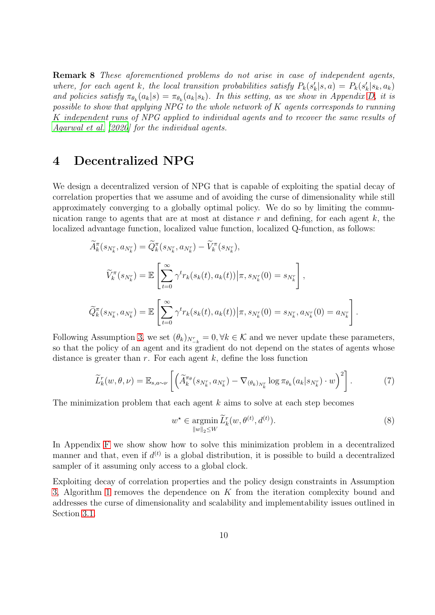Remark 8 These aforementioned problems do not arise in case of independent agents, where, for each agent k, the local transition probabilities satisfy  $P_k(s'_k|s,a) = P_k(s'_k|s_k,a_k)$ and policies satisfy  $\pi_{\theta_k}(a_k|s) = \pi_{\theta_k}(a_k|s_k)$ . In this setting, as we show in Appendix [D,](#page-25-0) it is possible to show that applying NPG to the whole network of K agents corresponds to running K independent runs of NPG applied to individual agents and to recover the same results of [Agarwal et al. \[2020\]](#page-13-2) for the individual agents.

#### <span id="page-9-3"></span>4 Decentralized NPG

We design a decentralized version of NPG that is capable of exploiting the spatial decay of correlation properties that we assume and of avoiding the curse of dimensionality while still approximately converging to a globally optimal policy. We do so by limiting the communication range to agents that are at most at distance r and defining, for each agent  $k$ , the localized advantage function, localized value function, localized Q-function, as follows:

$$
\widetilde{A}_{k}^{\pi}(s_{N_{k}^{r}}, a_{N_{k}^{r}}) = \widetilde{Q}_{k}^{\pi}(s_{N_{k}^{r}}, a_{N_{k}^{r}}) - \widetilde{V}_{k}^{\pi}(s_{N_{k}^{r}}),
$$
\n
$$
\widetilde{V}_{k}^{\pi}(s_{N_{k}^{r}}) = \mathbb{E}\left[\sum_{t=0}^{\infty} \gamma^{t} r_{k}(s_{k}(t), a_{k}(t)) | \pi, s_{N_{k}^{r}}(0) = s_{N_{k}^{r}}\right],
$$
\n
$$
\widetilde{Q}_{k}^{\pi}(s_{N_{k}^{r}}, a_{N_{k}^{r}}) = \mathbb{E}\left[\sum_{t=0}^{\infty} \gamma^{t} r_{k}(s_{k}(t), a_{k}(t)) | \pi, s_{N_{k}^{r}}(0) = s_{N_{k}^{r}}, a_{N_{k}^{r}}(0) = a_{N_{k}^{r}}\right].
$$

Following Assumption [3,](#page-5-1) we set  $(\theta_k)_{N_{-k}^r} = 0, \forall k \in \mathcal{K}$  and we never update these parameters, so that the policy of an agent and its gradient do not depend on the states of agents whose distance is greater than  $r$ . For each agent  $k$ , define the loss function

<span id="page-9-2"></span>
$$
\widetilde{L}_k^r(w,\theta,\nu) = \mathbb{E}_{s,a\sim\nu} \left[ \left( \widetilde{A}_k^{\pi_{\theta}}(s_{N_k^r}, a_{N_k^r}) - \nabla_{(\theta_k)_{N_k^r}} \log \pi_{\theta_k}(a_k | s_{N_k^r}) \cdot w \right)^2 \right]. \tag{7}
$$

The minimization problem that each agent  $k$  aims to solve at each step becomes

<span id="page-9-1"></span>
$$
w^* \in \underset{\|w\|_2 \le W}{\operatorname{argmin}} \widetilde{L}_k^r(w, \theta^{(t)}, d^{(t)}).
$$
\n
$$
(8)
$$

In Appendix [F](#page-32-0) we show show how to solve this minimization problem in a decentralized manner and that, even if  $d^{(t)}$  is a global distribution, it is possible to build a decentralized sampler of it assuming only access to a global clock.

<span id="page-9-0"></span>Exploiting decay of correlation properties and the policy design constraints in Assumption [3,](#page-5-1) Algorithm [1](#page-10-0) removes the dependence on K from the iteration complexity bound and addresses the curse of dimensionality and scalability and implementability issues outlined in Section [3.1.](#page-8-0)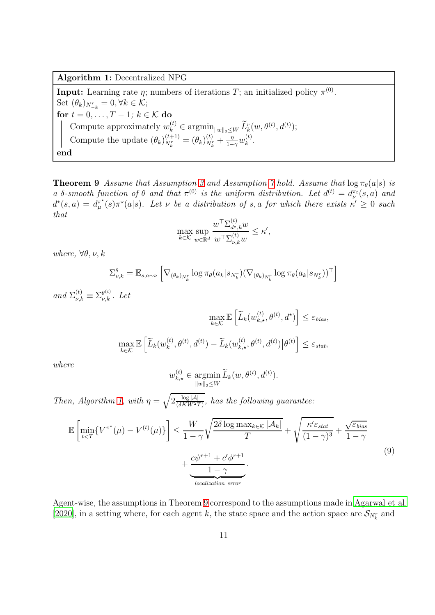<span id="page-10-0"></span>Algorithm 1: Decentralized NPG

**Input:** Learning rate  $\eta$ ; numbers of iterations T; an initialized policy  $\pi^{(0)}$ . Set  $(\theta_k)_{N_{-k}^r} = 0, \forall k \in \mathcal{K};$ for  $t = 0, \ldots, T - 1$ ;  $k \in \mathcal{K}$  do Compute approximately  $w_k^{(t)} \in \operatorname{argmin}_{\|w\|_2 \leq W} \widetilde{L}_k^r(w, \theta^{(t)}, d^{(t)})$ ; Compute the update  $(\theta_k)_{N_k^r}^{(t+1)}$  $\frac{(t+1)}{N_k^r} = (\theta_k)_{N_k^r}^{(t)}$  $\frac{(t)}{N_k^r} + \frac{\eta}{1-\eta}$  $\frac{\eta}{1-\gamma}w_k^{(t)}$  $\frac{(\iota)}{k}$ . end

**Theorem 9** Assume that Assumption [3](#page-5-1) and Assumption [7](#page-6-1) hold. Assume that  $\log \pi_{\theta}(a|s)$  is a  $\delta$ -smooth function of  $\theta$  and that  $\pi^{(0)}$  is the uniform distribution. Let  $d^{(t)} = d^{\pi_t}_{\nu}(s, a)$  and  $d^{\star}(s, a) = d^{\pi^{\star}}_{\mu}$  $\pi^{\star}_{\mu}(s)\pi^{\star}(a|s)$ . Let  $\nu$  be a distribution of s, a for which there exists  $\kappa' \geq 0$  such that

$$
\max_{k \in \mathcal{K}} \sup_{w \in \mathbb{R}^d} \frac{w^\top \Sigma_{d^\star,k}^{(t)} w}{w^\top \Sigma_{\nu,k}^{(t)} w} \le \kappa',
$$

where,  $\forall \theta, \nu, k$ 

$$
\Sigma_{\nu,k}^{\theta} = \mathbb{E}_{s,a \sim \nu} \left[ \nabla_{(\theta_k)_{N_k^r}} \log \pi_{\theta}(a_k | s_{N_k^r}) (\nabla_{(\theta_k)_{N_k^r}} \log \pi_{\theta}(a_k | s_{N_k^r}))^{\top} \right]
$$

and  $\Sigma_{\nu,k}^{(t)} \equiv \Sigma_{\nu,k}^{\theta^{(t)}}$ . Let

$$
\max_{k \in \mathcal{K}} \mathbb{E}\left[\widetilde{L}_k(w_{k,\star}^{(t)}, \theta^{(t)}, d^{\star})\right] \leq \varepsilon_{bias},
$$

$$
\max_{k \in \mathcal{K}} \mathbb{E}\left[\widetilde{L}_k(w_k^{(t)}, \theta^{(t)}, d^{(t)}) - \widetilde{L}_k(w_{k,\star}^{(t)}, \theta^{(t)}, d^{(t)})\Big|\theta^{(t)}\right] \leq \varepsilon_{stat},
$$

where

$$
w_{k,\star}^{(t)} \in \operatorname*{argmin}_{\|w\|_2 \le W} \widetilde{L}_k(w, \theta^{(t)}, d^{(t)}).
$$

Then, Algorithm [1,](#page-10-0) with  $\eta = \sqrt{2 \frac{\log |\mathcal{A}|}{(\delta K W^2 T)}}$ , has the following guarantee:

<span id="page-10-1"></span>
$$
\mathbb{E}\left[\min_{t\n(9)
$$

Agent-wise, the assumptions in Theorem [9](#page-9-0) correspond to the assumptions made in [Agarwal et al.](#page-13-2) [\[2020\]](#page-13-2), in a setting where, for each agent k, the state space and the action space are  $\mathcal{S}_{N_k^r}$  and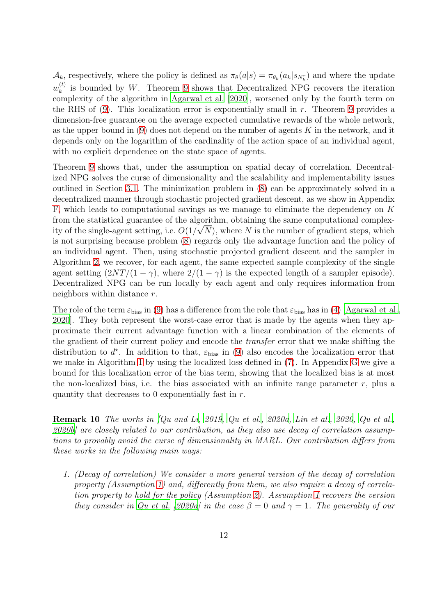$\mathcal{A}_k$ , respectively, where the policy is defined as  $\pi_\theta(a|s) = \pi_{\theta_k}(a_k|s_{N_k^r})$  and where the update  $w_k^{(t)}$  $\kappa_k^{(t)}$  is bounded by W. Theorem [9](#page-9-0) shows that Decentralized NPG recovers the iteration complexity of the algorithm in [Agarwal et al. \[2020\]](#page-13-2), worsened only by the fourth term on the RHS of  $(9)$ . This localization error is exponentially small in r. Theorem [9](#page-9-0) provides a dimension-free guarantee on the average expected cumulative rewards of the whole network, as the upper bound in  $(9)$  does not depend on the number of agents K in the network, and it depends only on the logarithm of the cardinality of the action space of an individual agent, with no explicit dependence on the state space of agents.

Theorem [9](#page-9-0) shows that, under the assumption on spatial decay of correlation, Decentralized NPG solves the curse of dimensionality and the scalability and implementability issues outlined in Section [3.1.](#page-8-0) The minimization problem in [\(8\)](#page-9-1) can be approximately solved in a decentralized manner through stochastic projected gradient descent, as we show in Appendix [F,](#page-32-0) which leads to computational savings as we manage to eliminate the dependency on K from the statistical guarantee of the algorithm, obtaining the same computational complexity of the single-agent setting, i.e.  $O(1/\sqrt{N})$ , where N is the number of gradient steps, which is not surprising because problem [\(8\)](#page-9-1) regards only the advantage function and the policy of an individual agent. Then, using stochastic projected gradient descent and the sampler in Algorithm [2,](#page-33-0) we recover, for each agent, the same expected sample complexity of the single agent setting  $\left(\frac{2NT}{1-\gamma}\right)$ , where  $\frac{2}{1-\gamma}$  is the expected length of a sampler episode). Decentralized NPG can be run locally by each agent and only requires information from neighbors within distance r.

The role of the term  $\varepsilon_{\text{bias}}$  in [\(9\)](#page-10-1) has a difference from the role that  $\varepsilon_{\text{bias}}$  has in [\(4\)](#page-7-1) [\[Agarwal et al.,](#page-13-2) [2020\]](#page-13-2). They both represent the worst-case error that is made by the agents when they approximate their current advantage function with a linear combination of the elements of the gradient of their current policy and encode the transfer error that we make shifting the distribution to  $d^*$ . In addition to that,  $\varepsilon_{\text{bias}}$  in [\(9\)](#page-10-1) also encodes the localization error that we make in Algorithm [1](#page-10-0) by using the localized loss defined in [\(7\)](#page-9-2). In Appendix [G](#page-33-1) we give a bound for this localization error of the bias term, showing that the localized bias is at most the non-localized bias, i.e. the bias associated with an infinite range parameter  $r$ , plus a quantity that decreases to  $0$  exponentially fast in  $r$ .

<span id="page-11-0"></span>**Remark 10** The works in  $[Qu$  and  $Li$ ,  $2019$ ,  $Qu$  et al.,  $2020a$ ,  $Lin$  et al.,  $2020$ ,  $Qu$  et al., [2020b](#page-15-8)] are closely related to our contribution, as they also use decay of correlation assumptions to provably avoid the curse of dimensionality in MARL. Our contribution differs from these works in the following main ways:

1. (Decay of correlation) We consider a more general version of the decay of correlation property (Assumption [1\)](#page-4-0) and, differently from them, we also require a decay of correlation property to hold for the policy (Assumption [2\)](#page-5-0). Assumption [1](#page-4-0) recovers the version they consider in [Qu et al. \[2020a](#page-15-7)] in the case  $\beta = 0$  and  $\gamma = 1$ . The generality of our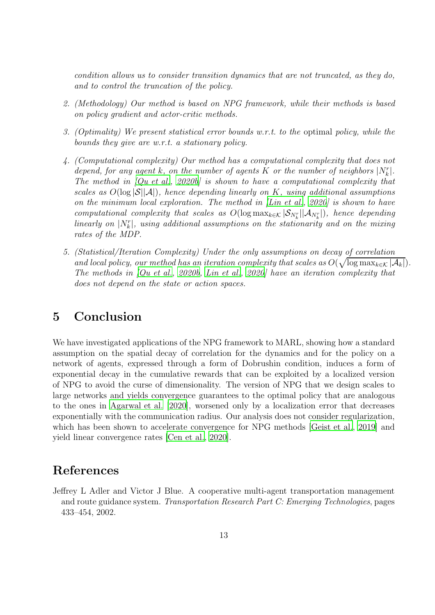condition allows us to consider transition dynamics that are not truncated, as they do, and to control the truncation of the policy.

- 2. (Methodology) Our method is based on NPG framework, while their methods is based on policy gradient and actor-critic methods.
- 3. (Optimality) We present statistical error bounds w.r.t. to the optimal policy, while the bounds they give are w.r.t. a stationary policy.
- 4. (Computational complexity) Our method has a computational complexity that does not depend, for any agent k, on the number of agents K or the number of neighbors  $|N_k^r|$ . The method in  $[Qu et al., 2020b]$  is shown to have a computational complexity that scales as  $O(\log |\mathcal{S}||\mathcal{A}|)$ , hence depending linearly on K, using additional assumptions on the minimum local exploration. The method in [\[Lin et al.](#page-14-7), [2020\]](#page-14-7) is shown to have computational complexity that scales as  $O(\log \max_{k \in \mathcal{K}} |\mathcal{S}_{N_k^r}| |\mathcal{A}_{N_k^r}|)$ , hence depending linearly on  $|N_k^r|$ , using additional assumptions on the stationarity and on the mixing rates of the MDP.
- 5. (Statistical/Iteration Complexity) Under the only assumptions on decay of correlation and local policy, our method has an iteration complexity that scales as  $O(\sqrt{\log \max_{k \in \mathcal{K}} |\mathcal{A}_k|}).$ The methods in [\[Qu et al.](#page-15-8), [2020b](#page-15-8), [Lin et al.](#page-14-7), [2020](#page-14-7)] have an iteration complexity that does not depend on the state or action spaces.

### 5 Conclusion

We have investigated applications of the NPG framework to MARL, showing how a standard assumption on the spatial decay of correlation for the dynamics and for the policy on a network of agents, expressed through a form of Dobrushin condition, induces a form of exponential decay in the cumulative rewards that can be exploited by a localized version of NPG to avoid the curse of dimensionality. The version of NPG that we design scales to large networks and yields convergence guarantees to the optimal policy that are analogous to the ones in [Agarwal et al. \[2020\]](#page-13-2), worsened only by a localization error that decreases exponentially with the communication radius. Our analysis does not consider regularization, which has been shown to accelerate convergence for NPG methods [\[Geist et al.](#page-13-12), [2019\]](#page-13-12) and yield linear convergence rates [\[Cen et al.](#page-13-13), [2020](#page-13-13)].

#### References

<span id="page-12-0"></span>Jeffrey L Adler and Victor J Blue. A cooperative multi-agent transportation management and route guidance system. Transportation Research Part C: Emerging Technologies, pages 433–454, 2002.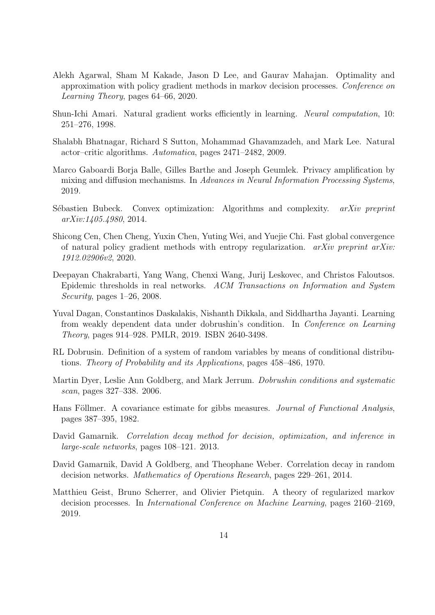- <span id="page-13-2"></span>Alekh Agarwal, Sham M Kakade, Jason D Lee, and Gaurav Mahajan. Optimality and approximation with policy gradient methods in markov decision processes. Conference on Learning Theory, pages 64–66, 2020.
- <span id="page-13-0"></span>Shun-Ichi Amari. Natural gradient works efficiently in learning. Neural computation, 10: 251–276, 1998.
- <span id="page-13-1"></span>Shalabh Bhatnagar, Richard S Sutton, Mohammad Ghavamzadeh, and Mark Lee. Natural actor–critic algorithms. Automatica, pages 2471–2482, 2009.
- <span id="page-13-6"></span>Marco Gaboardi Borja Balle, Gilles Barthe and Joseph Geumlek. Privacy amplification by mixing and diffusion mechanisms. In Advances in Neural Information Processing Systems, 2019.
- <span id="page-13-11"></span>Sébastien Bubeck. Convex optimization: Algorithms and complexity. arXiv preprint arXiv:1405.4980, 2014.
- <span id="page-13-13"></span>Shicong Cen, Chen Cheng, Yuxin Chen, Yuting Wei, and Yuejie Chi. Fast global convergence of natural policy gradient methods with entropy regularization.  $arXiv$  preprint  $arXiv$ : 1912.02906v2, 2020.
- <span id="page-13-10"></span>Deepayan Chakrabarti, Yang Wang, Chenxi Wang, Jurij Leskovec, and Christos Faloutsos. Epidemic thresholds in real networks. ACM Transactions on Information and System Security, pages 1–26, 2008.
- <span id="page-13-5"></span>Yuval Dagan, Constantinos Daskalakis, Nishanth Dikkala, and Siddhartha Jayanti. Learning from weakly dependent data under dobrushin's condition. In Conference on Learning Theory, pages 914–928. PMLR, 2019. ISBN 2640-3498.
- <span id="page-13-3"></span>RL Dobrusin. Definition of a system of random variables by means of conditional distributions. Theory of Probability and its Applications, pages 458–486, 1970.
- <span id="page-13-9"></span>Martin Dyer, Leslie Ann Goldberg, and Mark Jerrum. Dobrushin conditions and systematic scan, pages 327–338. 2006.
- <span id="page-13-4"></span>Hans Föllmer. A covariance estimate for gibbs measures. Journal of Functional Analysis, pages 387–395, 1982.
- <span id="page-13-7"></span>David Gamarnik. Correlation decay method for decision, optimization, and inference in large-scale networks, pages 108–121. 2013.
- <span id="page-13-8"></span>David Gamarnik, David A Goldberg, and Theophane Weber. Correlation decay in random decision networks. Mathematics of Operations Research, pages 229–261, 2014.
- <span id="page-13-12"></span>Matthieu Geist, Bruno Scherrer, and Olivier Pietquin. A theory of regularized markov decision processes. In International Conference on Machine Learning, pages 2160–2169, 2019.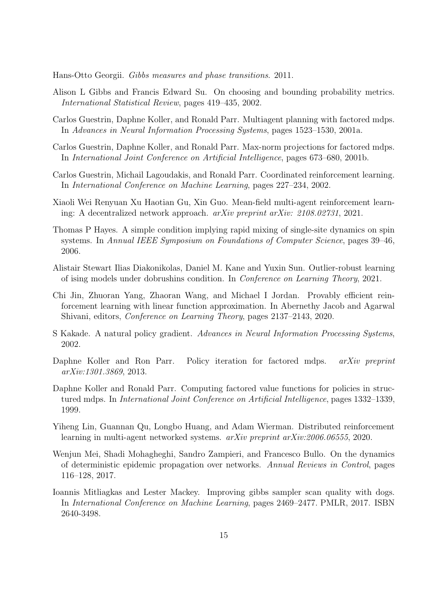<span id="page-14-9"></span>Hans-Otto Georgii. Gibbs measures and phase transitions. 2011.

- <span id="page-14-14"></span>Alison L Gibbs and Francis Edward Su. On choosing and bounding probability metrics. International Statistical Review, pages 419–435, 2002.
- <span id="page-14-5"></span>Carlos Guestrin, Daphne Koller, and Ronald Parr. Multiagent planning with factored mdps. In Advances in Neural Information Processing Systems, pages 1523–1530, 2001a.
- <span id="page-14-2"></span>Carlos Guestrin, Daphne Koller, and Ronald Parr. Max-norm projections for factored mdps. In International Joint Conference on Artificial Intelligence, pages 673–680, 2001b.
- <span id="page-14-6"></span>Carlos Guestrin, Michail Lagoudakis, and Ronald Parr. Coordinated reinforcement learning. In International Conference on Machine Learning, pages 227–234, 2002.
- <span id="page-14-8"></span>Xiaoli Wei Renyuan Xu Haotian Gu, Xin Guo. Mean-field multi-agent reinforcement learning: A decentralized network approach. arXiv preprint arXiv: 2108.02731, 2021.
- <span id="page-14-12"></span>Thomas P Hayes. A simple condition implying rapid mixing of single-site dynamics on spin systems. In Annual IEEE Symposium on Foundations of Computer Science, pages 39–46, 2006.
- <span id="page-14-11"></span>Alistair Stewart Ilias Diakonikolas, Daniel M. Kane and Yuxin Sun. Outlier-robust learning of ising models under dobrushins condition. In Conference on Learning Theory, 2021.
- <span id="page-14-4"></span>Chi Jin, Zhuoran Yang, Zhaoran Wang, and Michael I Jordan. Provably efficient reinforcement learning with linear function approximation. In Abernethy Jacob and Agarwal Shivani, editors, Conference on Learning Theory, pages 2137–2143, 2020.
- <span id="page-14-0"></span>S Kakade. A natural policy gradient. Advances in Neural Information Processing Systems, 2002.
- <span id="page-14-3"></span>Daphne Koller and Ron Parr. Policy iteration for factored mdps. *arXiv preprint* arXiv:1301.3869, 2013.
- <span id="page-14-1"></span>Daphne Koller and Ronald Parr. Computing factored value functions for policies in structured mdps. In International Joint Conference on Artificial Intelligence, pages 1332–1339, 1999.
- <span id="page-14-7"></span>Yiheng Lin, Guannan Qu, Longbo Huang, and Adam Wierman. Distributed reinforcement learning in multi-agent networked systems. arXiv preprint arXiv:2006.06555, 2020.
- <span id="page-14-13"></span>Wenjun Mei, Shadi Mohagheghi, Sandro Zampieri, and Francesco Bullo. On the dynamics of deterministic epidemic propagation over networks. Annual Reviews in Control, pages 116–128, 2017.
- <span id="page-14-10"></span>Ioannis Mitliagkas and Lester Mackey. Improving gibbs sampler scan quality with dogs. In International Conference on Machine Learning, pages 2469–2477. PMLR, 2017. ISBN 2640-3498.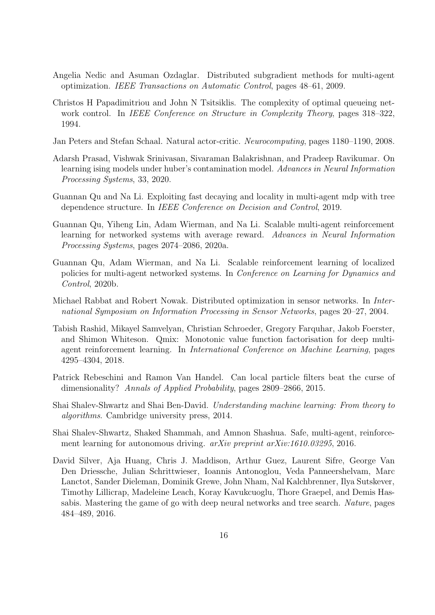- <span id="page-15-4"></span>Angelia Nedic and Asuman Ozdaglar. Distributed subgradient methods for multi-agent optimization. IEEE Transactions on Automatic Control, pages 48–61, 2009.
- <span id="page-15-11"></span>Christos H Papadimitriou and John N Tsitsiklis. The complexity of optimal queueing network control. In *IEEE Conference on Structure in Complexity Theory*, pages  $318-322$ , 1994.
- <span id="page-15-2"></span>Jan Peters and Stefan Schaal. Natural actor-critic. Neurocomputing, pages 1180–1190, 2008.
- <span id="page-15-9"></span>Adarsh Prasad, Vishwak Srinivasan, Sivaraman Balakrishnan, and Pradeep Ravikumar. On learning ising models under huber's contamination model. Advances in Neural Information Processing Systems, 33, 2020.
- <span id="page-15-6"></span>Guannan Qu and Na Li. Exploiting fast decaying and locality in multi-agent mdp with tree dependence structure. In IEEE Conference on Decision and Control, 2019.
- <span id="page-15-7"></span>Guannan Qu, Yiheng Lin, Adam Wierman, and Na Li. Scalable multi-agent reinforcement learning for networked systems with average reward. Advances in Neural Information Processing Systems, pages 2074–2086, 2020a.
- <span id="page-15-8"></span>Guannan Qu, Adam Wierman, and Na Li. Scalable reinforcement learning of localized policies for multi-agent networked systems. In Conference on Learning for Dynamics and Control, 2020b.
- <span id="page-15-3"></span>Michael Rabbat and Robert Nowak. Distributed optimization in sensor networks. In International Symposium on Information Processing in Sensor Networks, pages 20–27, 2004.
- <span id="page-15-5"></span>Tabish Rashid, Mikayel Samvelyan, Christian Schroeder, Gregory Farquhar, Jakob Foerster, and Shimon Whiteson. Qmix: Monotonic value function factorisation for deep multiagent reinforcement learning. In International Conference on Machine Learning, pages 4295–4304, 2018.
- <span id="page-15-10"></span>Patrick Rebeschini and Ramon Van Handel. Can local particle filters beat the curse of dimensionality? Annals of Applied Probability, pages 2809–2866, 2015.
- <span id="page-15-12"></span>Shai Shalev-Shwartz and Shai Ben-David. Understanding machine learning: From theory to algorithms. Cambridge university press, 2014.
- <span id="page-15-1"></span>Shai Shalev-Shwartz, Shaked Shammah, and Amnon Shashua. Safe, multi-agent, reinforcement learning for autonomous driving. *arXiv preprint arXiv:1610.03295*, 2016.
- <span id="page-15-0"></span>David Silver, Aja Huang, Chris J. Maddison, Arthur Guez, Laurent Sifre, George Van Den Driessche, Julian Schrittwieser, Ioannis Antonoglou, Veda Panneershelvam, Marc Lanctot, Sander Dieleman, Dominik Grewe, John Nham, Nal Kalchbrenner, Ilya Sutskever, Timothy Lillicrap, Madeleine Leach, Koray Kavukcuoglu, Thore Graepel, and Demis Hassabis. Mastering the game of go with deep neural networks and tree search. Nature, pages 484–489, 2016.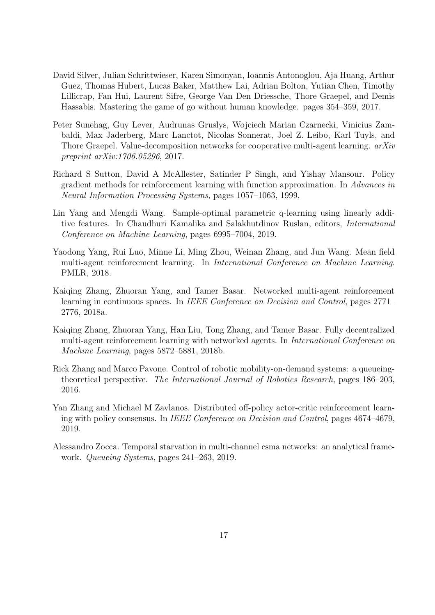- <span id="page-16-0"></span>David Silver, Julian Schrittwieser, Karen Simonyan, Ioannis Antonoglou, Aja Huang, Arthur Guez, Thomas Hubert, Lucas Baker, Matthew Lai, Adrian Bolton, Yutian Chen, Timothy Lillicrap, Fan Hui, Laurent Sifre, George Van Den Driessche, Thore Graepel, and Demis Hassabis. Mastering the game of go without human knowledge. pages 354–359, 2017.
- <span id="page-16-2"></span>Peter Sunehag, Guy Lever, Audrunas Gruslys, Wojciech Marian Czarnecki, Vinicius Zambaldi, Max Jaderberg, Marc Lanctot, Nicolas Sonnerat, Joel Z. Leibo, Karl Tuyls, and Thore Graepel. Value-decomposition networks for cooperative multi-agent learning.  $arXiv$ preprint arXiv:1706.05296, 2017.
- <span id="page-16-9"></span>Richard S Sutton, David A McAllester, Satinder P Singh, and Yishay Mansour. Policy gradient methods for reinforcement learning with function approximation. In Advances in Neural Information Processing Systems, pages 1057–1063, 1999.
- <span id="page-16-1"></span>Lin Yang and Mengdi Wang. Sample-optimal parametric q-learning using linearly additive features. In Chaudhuri Kamalika and Salakhutdinov Ruslan, editors, International Conference on Machine Learning, pages 6995–7004, 2019.
- <span id="page-16-6"></span>Yaodong Yang, Rui Luo, Minne Li, Ming Zhou, Weinan Zhang, and Jun Wang. Mean field multi-agent reinforcement learning. In International Conference on Machine Learning. PMLR, 2018.
- <span id="page-16-3"></span>Kaiqing Zhang, Zhuoran Yang, and Tamer Basar. Networked multi-agent reinforcement learning in continuous spaces. In IEEE Conference on Decision and Control, pages 2771– 2776, 2018a.
- <span id="page-16-4"></span>Kaiqing Zhang, Zhuoran Yang, Han Liu, Tong Zhang, and Tamer Basar. Fully decentralized multi-agent reinforcement learning with networked agents. In International Conference on Machine Learning, pages 5872–5881, 2018b.
- <span id="page-16-8"></span>Rick Zhang and Marco Pavone. Control of robotic mobility-on-demand systems: a queueingtheoretical perspective. The International Journal of Robotics Research, pages 186–203, 2016.
- <span id="page-16-5"></span>Yan Zhang and Michael M Zavlanos. Distributed off-policy actor-critic reinforcement learning with policy consensus. In IEEE Conference on Decision and Control, pages 4674–4679, 2019.
- <span id="page-16-7"></span>Alessandro Zocca. Temporal starvation in multi-channel csma networks: an analytical framework. Queueing Systems, pages 241–263, 2019.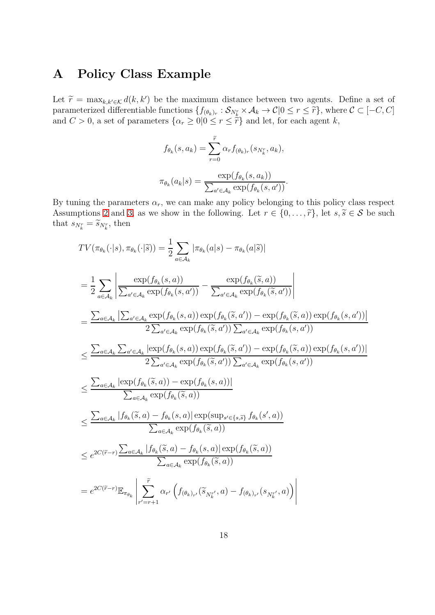#### <span id="page-17-0"></span>A Policy Class Example

Let  $\widetilde{r} = \max_{k,k' \in \mathcal{K}} d(k, k')$  be the maximum distance between two agents. Define a set of parameterized differentiable functions  $\{f_{(\theta_k)_r}: \mathcal{S}_{N_k^r} \times \mathcal{A}_k \to \mathcal{C} | 0 \leq r \leq \tilde{r}\}\,$ , where  $\mathcal{C} \subset [-C, C]$ and  $C > 0$ , a set of parameters  $\{\alpha_r \geq 0 | 0 \leq r \leq \tilde{r}\}\$  and let, for each agent k,

$$
f_{\theta_k}(s, a_k) = \sum_{r=0}^{\tilde{r}} \alpha_r f_{(\theta_k)_r}(s_{N_k^r}, a_k),
$$

$$
\pi_{\theta_k}(a_k|s) = \frac{\exp(f_{\theta_k}(s, a_k))}{\sum_{a' \in \mathcal{A}_k} \exp(f_{\theta_k}(s, a'))}.
$$

By tuning the parameters  $\alpha_r$ , we can make any policy belonging to this policy class respect Assumptions [2](#page-5-0) and [3,](#page-5-1) as we show in the following. Let  $r \in \{0, \ldots, \tilde{r}\}\)$ , let  $s, \tilde{s} \in \mathcal{S}$  be such that  $s_{N_k^r} = \widetilde{s}_{N_k^r}$ , then

$$
TV(\pi_{\theta_k}(\cdot|s), \pi_{\theta_k}(\cdot|\tilde{s})) = \frac{1}{2} \sum_{a \in A_k} |\pi_{\theta_k}(a|s) - \pi_{\theta_k}(a|\tilde{s})|
$$
  
\n
$$
= \frac{1}{2} \sum_{a \in A_k} \left| \frac{\exp(f_{\theta_k}(s, a))}{\sum_{a' \in A_k} \exp(f_{\theta_k}(s, a'))} - \frac{\exp(f_{\theta_k}(\tilde{s}, a))}{\sum_{a' \in A_k} \exp(f_{\theta_k}(\tilde{s}, a'))} \right|
$$
  
\n
$$
= \frac{\sum_{a \in A_k} |\sum_{a' \in A_k} \exp(f_{\theta_k}(s, a)) \exp(f_{\theta_k}(\tilde{s}, a')) - \exp(f_{\theta_k}(\tilde{s}, a)) \exp(f_{\theta_k}(s, a'))|}{2 \sum_{a' \in A_k} \exp(f_{\theta_k}(\tilde{s}, a')) \sum_{a' \in A_k} \exp(f_{\theta_k}(s, a'))}
$$
  
\n
$$
\leq \frac{\sum_{a \in A_k} \sum_{a' \in A_k} |\exp(f_{\theta_k}(s, a)) \exp(f_{\theta_k}(\tilde{s}, a')) - \exp(f_{\theta_k}(\tilde{s}, a)) \exp(f_{\theta_k}(s, a'))|}{2 \sum_{a' \in A_k} \exp(f_{\theta_k}(\tilde{s}, a'))}
$$
  
\n
$$
\leq \frac{\sum_{a \in A_k} |\exp(f_{\theta_k}(\tilde{s}, a)) - \exp(f_{\theta_k}(s, a))|}{\sum_{a \in A_k} \exp(f_{\theta_k}(\tilde{s}, a))}
$$
  
\n
$$
\leq \frac{\sum_{a \in A_k} |f_{\theta_k}(\tilde{s}, a) - f_{\theta_k}(s, a)| \exp(\sup_{a' \in \{s, \tilde{s}\}} f_{\theta_k}(s', a))|}{\sum_{a \in A_k} \exp(f_{\theta_k}(\tilde{s}, a))}
$$
  
\n
$$
\leq e^{2C(\tilde{r}-r)} \frac{\sum_{a \in A_k} |f_{\theta_k}(\tilde{s}, a) - f_{\theta_k}(s, a)| \exp(f_{\theta_k}(\tilde{s}, a))|}{\sum_{a \in A_k} \exp(f_{\theta_k}(\tilde{s}, a))}
$$
  
\n
$$
= e^{2C(\tilde{r}-r)} \math
$$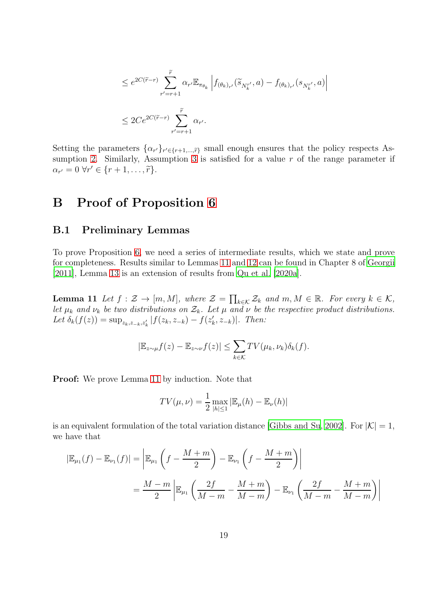$$
\leq e^{2C(\widetilde{r}-r)}\sum_{r'=r+1}^{\widetilde{r}}\alpha_{r'}\mathbb{E}_{\pi_{\theta_k}}\left|f_{(\theta_k)_{r'}}(\widetilde{s}_{N_k^{r'}},a)-f_{(\theta_k)_{r'}}(s_{N_k^{r'}},a)\right|
$$
  

$$
\leq 2Ce^{2C(\widetilde{r}-r)}\sum_{r'=r+1}^{\widetilde{r}}\alpha_{r'}.
$$

Setting the parameters  $\{\alpha_{r'}\}_{r' \in \{r+1,\dots,\tilde{r}\}}$  small enough ensures that the policy respects As-sumption [2.](#page-5-0) Similarly, Assumption [3](#page-5-1) is satisfied for a value  $r$  of the range parameter if  $\alpha_{r'}=0 \,\forall r' \in \{r+1,\ldots,\widetilde{r}\}.$ 

### <span id="page-18-0"></span>B Proof of Proposition [6](#page-6-2)

#### B.1 Preliminary Lemmas

<span id="page-18-1"></span>To prove Proposition [6,](#page-6-2) we need a series of intermediate results, which we state and prove for completeness. Results similar to Lemmas [11](#page-18-1) and [12](#page-19-0) can be found in Chapter 8 of [Georgii](#page-14-9) [\[2011\]](#page-14-9), Lemma [13](#page-20-0) is an extension of results from [Qu et al. \[2020a](#page-15-7)].

**Lemma 11** Let  $f : \mathcal{Z} \to [m, M]$ , where  $\mathcal{Z} = \prod_{k \in \mathcal{K}} \mathcal{Z}_k$  and  $m, M \in \mathbb{R}$ . For every  $k \in \mathcal{K}$ , let  $\mu_k$  and  $\nu_k$  be two distributions on  $\mathcal{Z}_k$ . Let  $\mu$  and  $\nu$  be the respective product distributions. Let  $\delta_k(f(z)) = \sup_{z_k, z_{-k}, z'_k} |f(z_k, z_{-k}) - f(z'_k, z_{-k})|$ . Then:

$$
|\mathbb{E}_{z \sim \mu} f(z) - \mathbb{E}_{z \sim \nu} f(z)| \leq \sum_{k \in \mathcal{K}} TV(\mu_k, \nu_k) \delta_k(f).
$$

Proof: We prove Lemma [11](#page-18-1) by induction. Note that

$$
TV(\mu, \nu) = \frac{1}{2} \max_{|h| \le 1} |\mathbb{E}_{\mu}(h) - \mathbb{E}_{\nu}(h)|
$$

is an equivalent formulation of the total variation distance [\[Gibbs and](#page-14-14) Su, [2002](#page-14-14)]. For  $|\mathcal{K}| = 1$ , we have that

$$
|\mathbb{E}_{\mu_1}(f) - \mathbb{E}_{\nu_1}(f)| = \left| \mathbb{E}_{\mu_1}\left(f - \frac{M+m}{2}\right) - \mathbb{E}_{\nu_1}\left(f - \frac{M+m}{2}\right) \right|
$$
  
= 
$$
\frac{M-m}{2} \left| \mathbb{E}_{\mu_1}\left(\frac{2f}{M-m} - \frac{M+m}{M-m}\right) - \mathbb{E}_{\nu_1}\left(\frac{2f}{M-m} - \frac{M+m}{M-m}\right) \right|
$$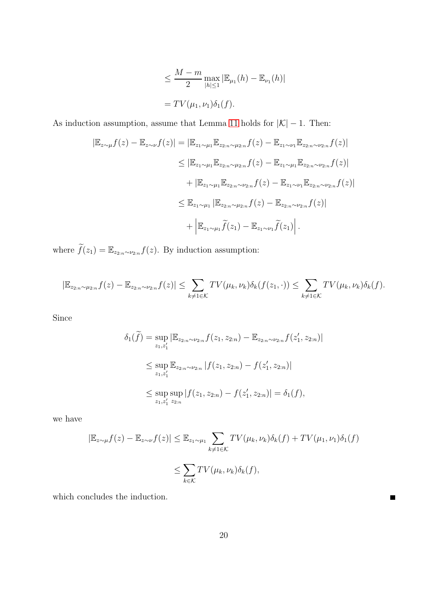$$
\leq \frac{M-m}{2} \max_{|h| \leq 1} |\mathbb{E}_{\mu_1}(h) - \mathbb{E}_{\nu_1}(h)|
$$
  
= TV( $\mu_1, \nu_1$ ) $\delta_1(f)$ .

As induction assumption, assume that Lemma [11](#page-18-1) holds for  $|K| - 1$ . Then:

$$
|\mathbb{E}_{z \sim \mu} f(z) - \mathbb{E}_{z \sim \nu} f(z)| = |\mathbb{E}_{z_1 \sim \mu_1} \mathbb{E}_{z_{2:n} \sim \mu_{2:n}} f(z) - \mathbb{E}_{z_1 \sim \nu_1} \mathbb{E}_{z_{2:n} \sim \nu_{2:n}} f(z)|
$$
  
\n
$$
\leq |\mathbb{E}_{z_1 \sim \mu_1} \mathbb{E}_{z_{2:n} \sim \mu_{2:n}} f(z) - \mathbb{E}_{z_1 \sim \mu_1} \mathbb{E}_{z_{2:n} \sim \nu_{2:n}} f(z)|
$$
  
\n
$$
+ |\mathbb{E}_{z_1 \sim \mu_1} \mathbb{E}_{z_{2:n} \sim \nu_{2:n}} f(z) - \mathbb{E}_{z_1 \sim \nu_1} \mathbb{E}_{z_{2:n} \sim \nu_{2:n}} f(z)|
$$
  
\n
$$
\leq \mathbb{E}_{z_1 \sim \mu_1} |\mathbb{E}_{z_{2:n} \sim \mu_{2:n}} f(z) - \mathbb{E}_{z_{2:n} \sim \nu_{2:n}} f(z)|
$$
  
\n
$$
+ |\mathbb{E}_{z_1 \sim \mu_1} \widetilde{f}(z_1) - \mathbb{E}_{z_1 \sim \nu_1} \widetilde{f}(z_1)|.
$$

where  $\widetilde{f}(z_1) = \mathbb{E}_{z_{2:n} \sim \nu_{2:n}} f(z)$ . By induction assumption:

$$
|\mathbb{E}_{z_{2:n}\sim\mu_{2:n}}f(z)-\mathbb{E}_{z_{2:n}\sim\nu_{2:n}}f(z)|\leq \sum_{k\neq 1\in\mathcal{K}}TV(\mu_k,\nu_k)\delta_k(f(z_1,\cdot))\leq \sum_{k\neq 1\in\mathcal{K}}TV(\mu_k,\nu_k)\delta_k(f).
$$

Since

$$
\delta_1(\widetilde{f}) = \sup_{z_1, z'_1} |\mathbb{E}_{z_{2:n} \sim \nu_{2:n}} f(z_1, z_{2:n}) - \mathbb{E}_{z_{2:n} \sim \nu_{2:n}} f(z'_1, z_{2:n})|
$$
  
\n
$$
\leq \sup_{z_1, z'_1} \mathbb{E}_{z_{2:n} \sim \nu_{2:n}} |f(z_1, z_{2:n}) - f(z'_1, z_{2:n})|
$$
  
\n
$$
\leq \sup_{z_1, z'_1} \sup_{z_{2:n}} |f(z_1, z_{2:n}) - f(z'_1, z_{2:n})| = \delta_1(f),
$$

we have

$$
|\mathbb{E}_{z \sim \mu} f(z) - \mathbb{E}_{z \sim \nu} f(z)| \leq \mathbb{E}_{z_1 \sim \mu_1} \sum_{k \neq 1 \in \mathcal{K}} TV(\mu_k, \nu_k) \delta_k(f) + TV(\mu_1, \nu_1) \delta_1(f)
$$
  

$$
\leq \sum_{k \in \mathcal{K}} TV(\mu_k, \nu_k) \delta_k(f),
$$

 $\blacksquare$ 

<span id="page-19-0"></span>which concludes the induction.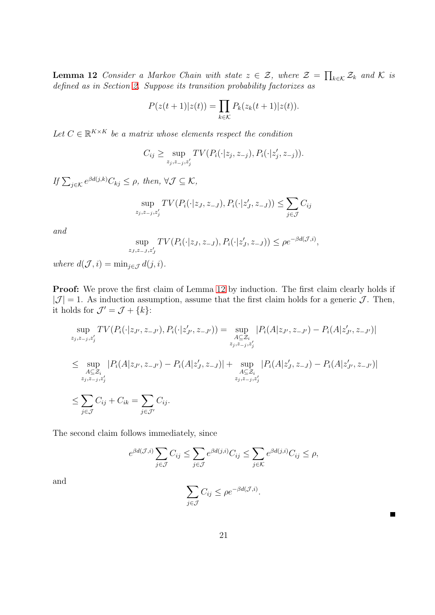**Lemma 12** Consider a Markov Chain with state  $z \in \mathcal{Z}$ , where  $\mathcal{Z} = \prod_{k \in \mathcal{K}} \mathcal{Z}_k$  and  $\mathcal{K}$  is defined as in Section [2.](#page-3-0) Suppose its transition probability factorizes as

$$
P(z(t+1)|z(t)) = \prod_{k \in \mathcal{K}} P_k(z_k(t+1)|z(t)).
$$

Let  $C \in \mathbb{R}^{K \times K}$  be a matrix whose elements respect the condition

$$
C_{ij} \geq \sup_{z_j, z_{-j}, z'_j} TV(P_i(\cdot | z_j, z_{-j}), P_i(\cdot | z'_j, z_{-j})).
$$

If  $\sum_{j \in \mathcal{K}} e^{\beta d(j,k)} C_{kj} \leq \rho$ , then,  $\forall \mathcal{J} \subseteq \mathcal{K}$ ,

$$
\sup_{z_j, z_{-j}, z'_j} TV(P_i(\cdot | z_j, z_{-J}), P_i(\cdot | z'_j, z_{-J})) \le \sum_{j \in \mathcal{J}} C_{ij}
$$

and

$$
\sup_{z_J, z_{-J}, z'_J} TV(P_i(\cdot | z_J, z_{-J}), P_i(\cdot | z'_J, z_{-J})) \le \rho e^{-\beta d(\mathcal{J}, i)},
$$

where  $d(\mathcal{J}, i) = \min_{j \in \mathcal{J}} d(j, i)$ .

Proof: We prove the first claim of Lemma [12](#page-19-0) by induction. The first claim clearly holds if  $|\mathcal{J}| = 1$ . As induction assumption, assume that the first claim holds for a generic  $\mathcal{J}$ . Then, it holds for  $\mathcal{J}' = \mathcal{J} + \{k\}$ :

$$
\sup_{z_j, z_{-j}, z'_j} TV(P_i(\cdot | z_{J'}, z_{-J'}), P_i(\cdot | z'_{J'}, z_{-J'}) ) = \sup_{\substack{A \subseteq \mathcal{Z}_i \\ z_j, z_{-j}, z'_j}} |P_i(A|z_{J'}, z_{-J'}) - P_i(A|z'_{J'}, z_{-J'})|
$$
  

$$
\leq \sup_{\substack{A \subseteq \mathcal{Z}_i \\ z_j, z_{-j}, z'_j}} |P_i(A|z_{J'}, z_{-J'}) - P_i(A|z'_{J}, z_{-J})| + \sup_{\substack{A \subseteq \mathcal{Z}_i \\ z_j, z_{-j}, z'_j}} |P_i(A|z'_{J'}, z_{-J'}) - P_i(A|z'_{J'}, z_{-J'})|
$$
  

$$
\leq \sum_{j \in \mathcal{J}} C_{ij} + C_{ik} = \sum_{j \in \mathcal{J}'} C_{ij}.
$$

The second claim follows immediately, since

$$
e^{\beta d(\mathcal{J},i)} \sum_{j \in \mathcal{J}} C_{ij} \le \sum_{j \in \mathcal{J}} e^{\beta d(j,i)} C_{ij} \le \sum_{j \in \mathcal{K}} e^{\beta d(j,i)} C_{ij} \le \rho,
$$

<span id="page-20-0"></span>and

$$
\sum_{j \in \mathcal{J}} C_{ij} \le \rho e^{-\beta d(\mathcal{J}, i)}.
$$

 $\blacksquare$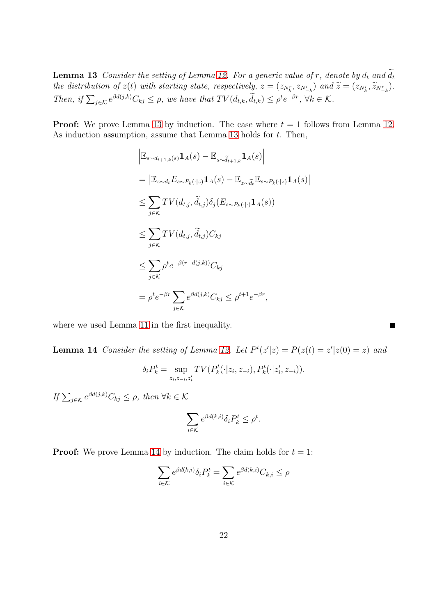**Lemma 13** Consider the setting of Lemma [12.](#page-19-0) For a generic value of r, denote by  $d_t$  and  $\widetilde{d_t}$ the distribution of  $z(t)$  with starting state, respectively,  $z = (z_{N_k^r}, z_{N_{-k}^r})$  and  $\widetilde{z} = (z_{N_k^r}, \widetilde{z}_{N_{-k}^r})$ . Then, if  $\sum_{j \in \mathcal{K}} e^{\beta d(j,k)} C_{kj} \leq \rho$ , we have that  $TV(d_{t,k}, \tilde{d}_{t,k}) \leq \rho^t e^{-\beta r}$ ,  $\forall k \in \mathcal{K}$ .

**Proof:** We prove Lemma [13](#page-20-0) by induction. The case where  $t = 1$  follows from Lemma [12.](#page-19-0) As induction assumption, assume that Lemma [13](#page-20-0) holds for  $t$ . Then,

 $\bigg\vert$ 

 $\blacksquare$ 

$$
\begin{aligned}\n&\left|\mathbb{E}_{s \sim d_{t+1,k}(s)} \mathbf{1}_{A}(s) - \mathbb{E}_{s \sim \widetilde{d}_{t+1,k}} \mathbf{1}_{A}(s)\right| \\
&= \left|\mathbb{E}_{z \sim d_{t}} E_{s \sim P_{k}(\cdot|z)} \mathbf{1}_{A}(s) - \mathbb{E}_{z \sim \widetilde{d}_{t}} \mathbb{E}_{s \sim P_{k}(\cdot|z)} \mathbf{1}_{A}(s)\right| \\
&\leq \sum_{j \in \mathcal{K}} TV(d_{t,j}, \widetilde{d}_{t,j}) \delta_{j} (E_{s \sim P_{k}(\cdot|\cdot)} \mathbf{1}_{A}(s)) \\
&\leq \sum_{j \in \mathcal{K}} TV(d_{t,j}, \widetilde{d}_{t,j}) C_{kj} \\
&\leq \sum_{j \in \mathcal{K}} \rho^{t} e^{-\beta (r - d(j,k))} C_{kj} \\
&= \rho^{t} e^{-\beta r} \sum_{j \in \mathcal{K}} e^{\beta d(j,k)} C_{kj} \leq \rho^{t+1} e^{-\beta r},\n\end{aligned}
$$

<span id="page-21-0"></span>where we used Lemma [11](#page-18-1) in the first inequality.

**Lemma 14** Consider the setting of Lemma [12.](#page-19-0) Let  $P<sup>t</sup>(z'|z) = P(z(t) = z'|z(0) = z)$  and

$$
\delta_i P_k^t = \sup_{z_i, z_{-i}, z_i'} TV(P_k^t(\cdot | z_i, z_{-i}), P_k^t(\cdot | z_i', z_{-i})).
$$

If  $\sum_{j \in \mathcal{K}} e^{\beta d(j,k)} C_{kj} \leq \rho$ , then  $\forall k \in \mathcal{K}$ 

$$
\sum_{i \in \mathcal{K}} e^{\beta d(k,i)} \delta_i P_k^t \le \rho^t.
$$

**Proof:** We prove Lemma [14](#page-21-0) by induction. The claim holds for  $t = 1$ :

$$
\sum_{i\in\mathcal{K}}e^{\beta d(k,i)}\delta_iP_k^t=\sum_{i\in\mathcal{K}}e^{\beta d(k,i)}C_{k,i}\leq\rho
$$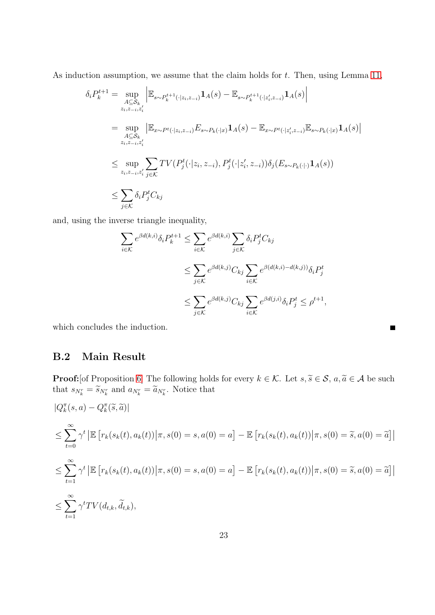As induction assumption, we assume that the claim holds for  $t$ . Then, using Lemma [11,](#page-18-1)

$$
\delta_i P_k^{t+1} = \sup_{A \subseteq S_k} \left| \mathbb{E}_{s \sim P_k^{t+1}(\cdot | z_i, z_{-i})} \mathbf{1}_A(s) - \mathbb{E}_{s \sim P_k^{t+1}(\cdot | z_i', z_{-i})} \mathbf{1}_A(s) \right|
$$
  
\n
$$
= \sup_{A \subseteq S_k} \left| \mathbb{E}_{x \sim P^t(\cdot | z_i, z_{-i})} E_{s \sim P_k(\cdot | x)} \mathbf{1}_A(s) - \mathbb{E}_{x \sim P^t(\cdot | z_i', z_{-i})} \mathbb{E}_{s \sim P_k(\cdot | x)} \mathbf{1}_A(s) \right|
$$
  
\n
$$
\leq \sup_{z_i, z_{-i}, z_i'} \sum_{j \in K} TV(P_j^t(\cdot | z_i, z_{-i}), P_j^t(\cdot | z_i', z_{-i})) \delta_j(E_{s \sim P_k(\cdot | x)} \mathbf{1}_A(s))
$$
  
\n
$$
\leq \sum_{j \in K} \delta_i P_j^t C_{kj}
$$

and, using the inverse triangle inequality,

$$
\sum_{i \in \mathcal{K}} e^{\beta d(k,i)} \delta_i P_k^{t+1} \leq \sum_{i \in \mathcal{K}} e^{\beta d(k,i)} \sum_{j \in \mathcal{K}} \delta_i P_j^t C_{kj}
$$
\n
$$
\leq \sum_{j \in \mathcal{K}} e^{\beta d(k,j)} C_{kj} \sum_{i \in \mathcal{K}} e^{\beta d(k,i) - d(k,j)} \delta_i P_j^t
$$
\n
$$
\leq \sum_{j \in \mathcal{K}} e^{\beta d(k,j)} C_{kj} \sum_{i \in \mathcal{K}} e^{\beta d(j,i)} \delta_i P_j^t \leq \rho^{t+1},
$$

 $\blacksquare$ 

which concludes the induction.

#### B.2 Main Result

**Proof:**[of Proposition [6\]](#page-6-2) The following holds for every  $k \in \mathcal{K}$ . Let  $s, \tilde{s} \in \mathcal{S}$ ,  $a, \tilde{a} \in \mathcal{A}$  be such that  $s_{N_k^r} = \widetilde{s}_{N_k^r}$  and  $a_{N_k^r} = \widetilde{a}_{N_k^r}$ . Notice that

$$
|Q_k^{\pi}(s, a) - Q_k^{\pi}(\tilde{s}, \tilde{a})|
$$
  
\n
$$
\leq \sum_{t=0}^{\infty} \gamma^t \left| \mathbb{E} \left[ r_k(s_k(t), a_k(t)) \middle| \pi, s(0) = s, a(0) = a \right] - \mathbb{E} \left[ r_k(s_k(t), a_k(t)) \middle| \pi, s(0) = \tilde{s}, a(0) = \tilde{a} \right] \right|
$$
  
\n
$$
\leq \sum_{t=1}^{\infty} \gamma^t \left| \mathbb{E} \left[ r_k(s_k(t), a_k(t)) \middle| \pi, s(0) = s, a(0) = a \right] - \mathbb{E} \left[ r_k(s_k(t), a_k(t)) \middle| \pi, s(0) = \tilde{s}, a(0) = \tilde{a} \right] \right|
$$
  
\n
$$
\leq \sum_{t=1}^{\infty} \gamma^t TV(d_{t,k}, \tilde{d}_{t,k}),
$$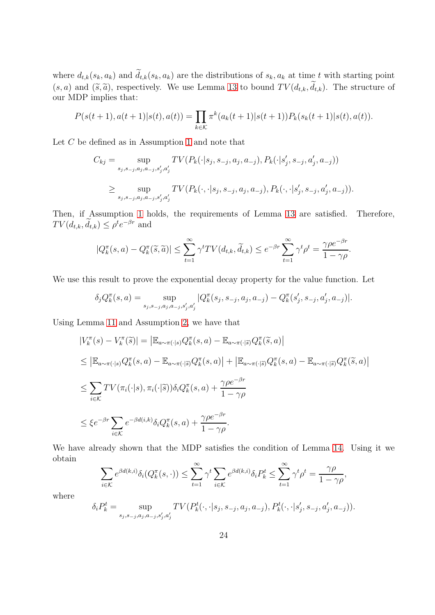where  $d_{t,k}(s_k, a_k)$  and  $\tilde{d}_{t,k}(s_k, a_k)$  are the distributions of  $s_k, a_k$  at time t with starting point  $(s, a)$  and  $(\tilde{s}, \tilde{a})$ , respectively. We use Lemma [13](#page-20-0) to bound  $TV(d_{t,k}, d_{t,k})$ . The structure of our MDP implies that:

$$
P(s(t+1), a(t+1)|s(t), a(t)) = \prod_{k \in \mathcal{K}} \pi^k(a_k(t+1)|s(t+1)) P_k(s_k(t+1)|s(t), a(t)).
$$

Let C be defined as in Assumption [1](#page-4-0) and note that

$$
C_{kj} = \sup_{s_j, s_{-j}, a_j, a_{-j}, s'_j, a'_j} TV(P_k(\cdot | s_j, s_{-j}, a_j, a_{-j}), P_k(\cdot | s'_j, s_{-j}, a'_j, a_{-j}))
$$
  

$$
\geq \sup_{s_j, s_{-j}, a_j, a_{-j}, s'_j, a'_j} TV(P_k(\cdot, \cdot | s_j, s_{-j}, a_j, a_{-j}), P_k(\cdot, \cdot | s'_j, s_{-j}, a'_j, a_{-j})).
$$

Then, if Assumption [1](#page-4-0) holds, the requirements of Lemma [13](#page-20-0) are satisfied. Therefore,  $TV(d_{t,k}, d_{t,k}) \leq \rho^t e^{-\beta r}$  and

$$
|Q_k^{\pi}(s, a) - Q_k^{\pi}(\tilde{s}, \tilde{a})| \leq \sum_{t=1}^{\infty} \gamma^t TV(d_{t,k}, \tilde{d}_{t,k}) \leq e^{-\beta r} \sum_{t=1}^{\infty} \gamma^t \rho^t = \frac{\gamma \rho e^{-\beta r}}{1 - \gamma \rho}.
$$

We use this result to prove the exponential decay property for the value function. Let

$$
\delta_j Q_k^{\pi}(s, a) = \sup_{s_j, s_{-j}, a_j, a_{-j}, s'_j, a'_j} |Q_k^{\pi}(s_j, s_{-j}, a_j, a_{-j}) - Q_k^{\pi}(s'_j, s_{-j}, a'_j, a_{-j})|.
$$

Using Lemma [11](#page-18-1) and Assumption [2,](#page-5-0) we have that

$$
\begin{split}\n|V_{k}^{\pi}(s) - V_{k}^{\pi}(\widetilde{s})| &= \left| \mathbb{E}_{a \sim \pi(\cdot|s)} Q_{k}^{\pi}(s, a) - \mathbb{E}_{a \sim \pi(\cdot|\widetilde{s})} Q_{k}^{\pi}(\widetilde{s}, a) \right| \\
&\leq \left| \mathbb{E}_{a \sim \pi(\cdot|s)} Q_{k}^{\pi}(s, a) - \mathbb{E}_{a \sim \pi(\cdot|\widetilde{s})} Q_{k}^{\pi}(s, a) \right| + \left| \mathbb{E}_{a \sim \pi(\cdot|\widetilde{s})} Q_{k}^{\pi}(s, a) - \mathbb{E}_{a \sim \pi(\cdot|\widetilde{s})} Q_{k}^{\pi}(\widetilde{s}, a) \right| \\
&\leq \sum_{i \in \mathcal{K}} TV(\pi_{i}(\cdot|s), \pi_{i}(\cdot|\widetilde{s})) \delta_{i} Q_{k}^{\pi}(s, a) + \frac{\gamma \rho e^{-\beta r}}{1 - \gamma \rho} \\
&\leq \xi e^{-\beta r} \sum_{i \in \mathcal{K}} e^{-\beta d(i,k)} \delta_{i} Q_{k}^{\pi}(s, a) + \frac{\gamma \rho e^{-\beta r}}{1 - \gamma \rho}.\n\end{split}
$$

We have already shown that the MDP satisfies the condition of Lemma [14.](#page-21-0) Using it we obtain

$$
\sum_{i \in \mathcal{K}} e^{\beta d(k,i)} \delta_i(Q_k^{\pi}(s,\cdot)) \le \sum_{t=1}^{\infty} \gamma^t \sum_{i \in \mathcal{K}} e^{\beta d(k,i)} \delta_i P_k^t \le \sum_{t=1}^{\infty} \gamma^t \rho^t = \frac{\gamma \rho}{1 - \gamma \rho},
$$

where

$$
\delta_i P_k^t = \sup_{s_j, s_{-j}, a_j, a_{-j}, s'_j, a'_j} TV(P_k^t(\cdot, \cdot | s_j, s_{-j}, a_j, a_{-j}), P_k^t(\cdot, \cdot | s'_j, s_{-j}, a'_j, a_{-j})).
$$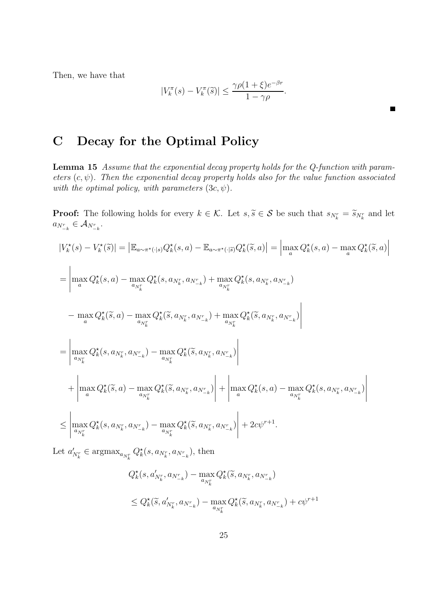Then, we have that

$$
|V_k^{\pi}(s) - V_k^{\pi}(\widetilde{s})| \le \frac{\gamma \rho (1 + \xi) e^{-\beta r}}{1 - \gamma \rho}.
$$

## <span id="page-24-1"></span><span id="page-24-0"></span>C Decay for the Optimal Policy

Lemma 15 Assume that the exponential decay property holds for the Q-function with parameters  $(c, \psi)$ . Then the exponential decay property holds also for the value function associated with the optimal policy, with parameters  $(3c, \psi)$ .

**Proof:** The following holds for every  $k \in \mathcal{K}$ . Let  $s, \tilde{s} \in \mathcal{S}$  be such that  $s_{N_k^r} = \tilde{s}_{N_k^r}$  and let  $a_{N_{-k}^r} \in \mathcal{A}_{N_{-k}^r}.$ 

$$
\begin{split} |V_{k}^{\star}(s) - V_{k}^{\star}(\tilde{s})| &= \left| \mathbb{E}_{a \sim \pi^{\star}(\cdot|s)} Q_{k}^{\star}(s, a) - \mathbb{E}_{a \sim \pi^{\star}(\cdot|\tilde{s})} Q_{k}^{\star}(\tilde{s}, a) \right| = \left| \max_{a} Q_{k}^{\star}(s, a) - \max_{a} Q_{k}^{\star}(\tilde{s}, a) \right| \\ &= \left| \max_{a} Q_{k}^{\star}(s, a) - \max_{a_{N_{k}^{r}}} Q_{k}^{\star}(s, a_{N_{k}^{r}}, a_{N_{-k}^{r}}) + \max_{a_{N_{k}^{r}}} Q_{k}^{\star}(s, a_{N_{k}^{r}}, a_{N_{-k}^{r}}) \right| \\ &- \max_{a} Q_{k}^{\star}(\tilde{s}, a) - \max_{a_{N_{k}^{r}}} Q_{k}^{\star}(\tilde{s}, a_{N_{k}^{r}}, a_{N_{-k}^{r}}) + \max_{a_{N_{k}^{r}}} Q_{k}^{\star}(\tilde{s}, a_{N_{k}^{r}}, a_{N_{-k}^{r}}) \right| \\ &= \left| \max_{a_{N_{k}^{r}}} Q_{k}^{\star}(s, a_{N_{k}^{r}}, a_{N_{-k}^{r}}) - \max_{a_{N_{k}^{r}}} Q_{k}^{\star}(\tilde{s}, a_{N_{k}^{r}}, a_{N_{-k}^{r}}) \right| + \left| \max_{a} Q_{k}^{\star}(s, a) - \max_{a_{N_{k}^{r}}} Q_{k}^{\star}(s, a_{N_{k}^{r}}, a_{N_{-k}^{r}}) \right| \\ &\leq \left| \max_{a_{N_{k}^{r}}} Q_{k}^{\star}(s, a_{N_{k}^{r}}, a_{N_{-k}^{r}}) - \max_{a_{N_{k}^{r}}} Q_{k}^{\star}(\tilde{s}, a_{N_{k}^{r}}, a_{N_{-k}^{r}}) \right| + 2c\psi^{r+1}. \end{split}
$$

Let  $a'_{N_k^r} \in \text{argmax}_{a_{N_k^r}} Q_k^{\star}(s, a_{N_k^r}, a_{N_{-k}^r}),$  then

$$
Q_k^*(s, a'_{N_k^r}, a_{N_{-k}^r}) - \max_{a_{N_k^r}} Q_k^*(\tilde{s}, a_{N_k^r}, a_{N_{-k}^r})
$$
  

$$
\leq Q_k^*(\tilde{s}, a'_{N_k^r}, a_{N_{-k}^r}) - \max_{a_{N_k^r}} Q_k^*(\tilde{s}, a_{N_k^r}, a_{N_{-k}^r}) + c\psi^{r+1}
$$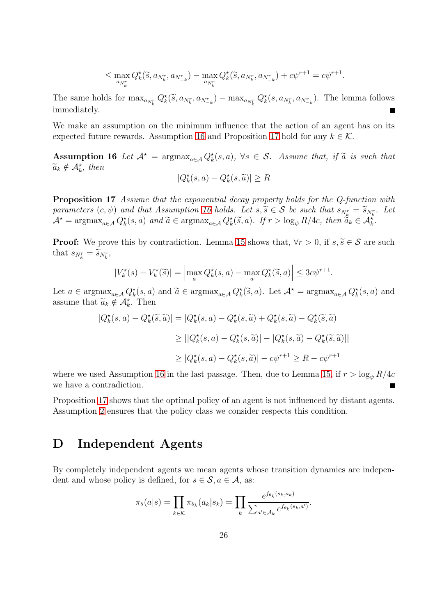$$
\leq \max_{a_{N_k^r}} Q_k^{\star}(\tilde{s}, a_{N_k^r}, a_{N_{-k}^r}) - \max_{a_{N_k^r}} Q_k^{\star}(\tilde{s}, a_{N_k^r}, a_{N_{-k}^r}) + c\psi^{r+1} = c\psi^{r+1}.
$$

The same holds for  $\max_{a_{N_k^r}} Q_k^{\star}(\tilde{s}, a_{N_k^r}, a_{N_{-k}^r}) - \max_{a_{N_k^r}} Q_k^{\star}(s, a_{N_k^r}, a_{N_{-k}^r}).$  The lemma follows immediately.

We make an assumption on the minimum influence that the action of an agent has on its expected future rewards. Assumption [16](#page-25-1) and Proposition [17](#page-25-2) hold for any  $k \in \mathcal{K}$ .

Assumption 16 Let  $A^* = \argmax_{a \in A} Q_k^*(s, a)$ ,  $\forall s \in S$ . Assume that, if  $\widetilde{a}$  is such that  $\widetilde{a}_k \notin \mathcal{A}_k^*$ , then

<span id="page-25-1"></span>
$$
|Q_k^\star(s, a) - Q_k^\star(s, \widetilde{a})| \ge R
$$

<span id="page-25-2"></span>Proposition 17 Assume that the exponential decay property holds for the Q-function with parameters  $(c, \psi)$  and that Assumption [16](#page-25-1) holds. Let  $s, \tilde{s} \in S$  be such that  $s_{N_k^r} = \tilde{s}_{N_k^r}$ . Let  $\mathcal{A}^* = \operatorname{argmax}_{a \in \mathcal{A}} Q_k^*(s, a)$  and  $\widetilde{a} \in \operatorname{argmax}_{a \in \mathcal{A}} Q_k^*(\widetilde{s}, a)$ . If  $r > \log_{\psi} R/4c$ , then  $\widetilde{a}_k \in \mathcal{A}_k^*$ .

**Proof:** We prove this by contradiction. Lemma [15](#page-24-1) shows that,  $\forall r > 0$ , if  $s, \tilde{s} \in \mathcal{S}$  are such that  $s_{N_k^r} = \widetilde{s}_{N_k^r}$ ,

$$
|V_k^{\star}(s) - V_k^{\star}(\widetilde{s})| = \left| \max_{a} Q_k^{\star}(s, a) - \max_{a} Q_k^{\star}(\widetilde{s}, a) \right| \leq 3c\psi^{r+1}.
$$

Let  $a \in \operatorname{argmax}_{a \in \mathcal{A}} Q_k^*(s, a)$  and  $\widetilde{a} \in \operatorname{argmax}_{a \in \mathcal{A}} Q_k^*(\widetilde{s}, a)$ . Let  $\mathcal{A}^* = \operatorname{argmax}_{a \in \mathcal{A}} Q_k^*(s, a)$  and assume that  $\widetilde{a}_k \notin \mathcal{A}_k^*$ . Then

$$
|Q_k^{\star}(s, a) - Q_k^{\star}(\tilde{s}, \tilde{a})| = |Q_k^{\star}(s, a) - Q_k^{\star}(s, \tilde{a}) + Q_k^{\star}(s, \tilde{a}) - Q_k^{\star}(\tilde{s}, \tilde{a})|
$$
  
\n
$$
\geq ||Q_k^{\star}(s, a) - Q_k^{\star}(s, \tilde{a})| - |Q_k^{\star}(s, \tilde{a}) - Q_k^{\star}(\tilde{s}, \tilde{a})||
$$
  
\n
$$
\geq |Q_k^{\star}(s, a) - Q_k^{\star}(s, \tilde{a})| - c\psi^{r+1} \geq R - c\psi^{r+1}
$$

where we used Assumption [16](#page-25-1) in the last passage. Then, due to Lemma [15,](#page-24-1) if  $r > \log_{\psi} R/4c$ we have a contradiction.

Proposition [17](#page-25-2) shows that the optimal policy of an agent is not influenced by distant agents. Assumption [2](#page-5-0) ensures that the policy class we consider respects this condition.

#### <span id="page-25-0"></span>D Independent Agents

By completely independent agents we mean agents whose transition dynamics are independent and whose policy is defined, for  $s \in \mathcal{S}, a \in \mathcal{A}$ , as:

$$
\pi_{\theta}(a|s) = \prod_{k \in \mathcal{K}} \pi_{\theta_k}(a_k|s_k) = \prod_k \frac{e^{f_{\theta_k}(s_k, a_k)}}{\sum_{a' \in \mathcal{A}_k} e^{f_{\theta_k}(s_k, a')}}.
$$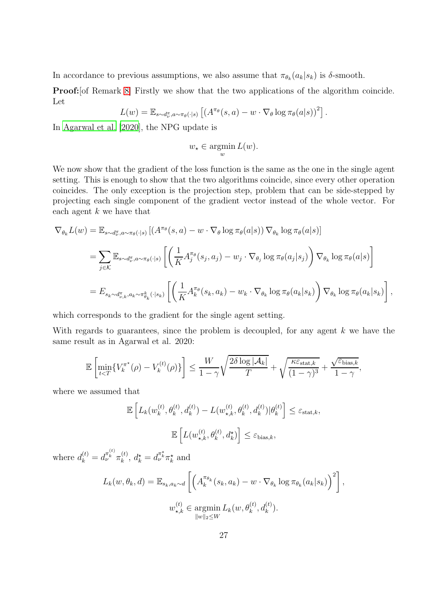In accordance to previous assumptions, we also assume that  $\pi_{\theta_k}(a_k|s_k)$  is  $\delta$ -smooth.

Proof:[of Remark [8\]](#page-8-3) Firstly we show that the two applications of the algorithm coincide. Let

$$
L(w) = \mathbb{E}_{s \sim d_v^{\pi}, a \sim \pi_{\theta}(\cdot | s)} \left[ \left( A^{\pi_{\theta}}(s, a) - w \cdot \nabla_{\theta} \log \pi_{\theta}(a | s) \right)^2 \right].
$$

In [Agarwal et al. \[2020](#page-13-2)], the NPG update is

$$
w_{\star} \in \operatorname*{argmin}_{w} L(w).
$$

We now show that the gradient of the loss function is the same as the one in the single agent setting. This is enough to show that the two algorithms coincide, since every other operation coincides. The only exception is the projection step, problem that can be side-stepped by projecting each single component of the gradient vector instead of the whole vector. For each agent  $k$  we have that

$$
\nabla_{\theta_k} L(w) = \mathbb{E}_{s \sim d_{\nu}^{\pi}, a \sim \pi_{\theta}(\cdot | s)} \left[ \left( A^{\pi_{\theta}}(s, a) - w \cdot \nabla_{\theta} \log \pi_{\theta}(a | s) \right) \nabla_{\theta_k} \log \pi_{\theta}(a | s) \right]
$$
  
\n
$$
= \sum_{j \in \mathcal{K}} \mathbb{E}_{s \sim d_{\nu}^{\pi}, a \sim \pi_{\theta}(\cdot | s)} \left[ \left( \frac{1}{K} A_j^{\pi_{\theta}}(s_j, a_j) - w_j \cdot \nabla_{\theta_j} \log \pi_{\theta}(a_j | s_j) \right) \nabla_{\theta_k} \log \pi_{\theta}(a | s) \right]
$$
  
\n
$$
= E_{s_k \sim d_{\nu,k}^{\pi}, a_k \sim \pi_{\theta_k}^k}(\cdot | s_k) \left[ \left( \frac{1}{K} A_k^{\pi_{\theta}}(s_k, a_k) - w_k \cdot \nabla_{\theta_k} \log \pi_{\theta}(a_k | s_k) \right) \nabla_{\theta_k} \log \pi_{\theta}(a_k | s_k) \right],
$$

which corresponds to the gradient for the single agent setting.

With regards to guarantees, since the problem is decoupled, for any agent  $k$  we have the same result as in Agarwal et al. 2020:

$$
\mathbb{E}\left[\min_{t
$$

where we assumed that

$$
\mathbb{E}\left[L_k(w_k^{(t)}, \theta_k^{(t)}, d_k^{(t)}) - L(w_{\star,k}^{(t)}, \theta_k^{(t)}, d_k^{(t)}) | \theta_k^{(t)}\right] \le \varepsilon_{\text{stat},k},
$$
  

$$
\mathbb{E}\left[L(w_{\star,k}^{(t)}, \theta_k^{(t)}, d_k^{\star})\right] \le \varepsilon_{\text{bias},k},
$$

where  $d_k^{(t)} = d_{\nu}^{\pi_k^{(t)}} \pi_k^{(t)}$  $k_k^{(t)}$ ,  $d_k^* = d_{\nu}^{\pi_k^*} \pi_k^*$  and

$$
L_k(w, \theta_k, d) = \mathbb{E}_{s_k, a_k \sim d} \left[ \left( A_k^{\pi_{\theta_k}}(s_k, a_k) - w \cdot \nabla_{\theta_k} \log \pi_{\theta_k}(a_k | s_k) \right)^2 \right],
$$
  

$$
w_{\star, k}^{(t)} \in \operatorname*{argmin}_{\|w\|_2 \le W} L_k(w, \theta_k^{(t)}, d_k^{(t)}).
$$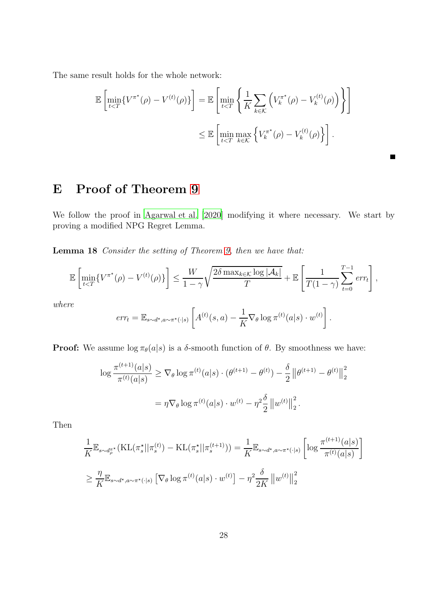The same result holds for the whole network:

$$
\mathbb{E}\left[\min_{t\leq T}\{V^{\pi^{\star}}(\rho) - V^{(t)}(\rho)\}\right] = \mathbb{E}\left[\min_{t\leq T}\left\{\frac{1}{K}\sum_{k\in\mathcal{K}}\left(V^{\pi^{\star}}(p) - V^{(t)}(p)\right)\right\}\right]
$$

$$
\leq \mathbb{E}\left[\min_{t\leq T}\max_{k\in\mathcal{K}}\left\{V^{\pi^{\star}}(p) - V^{(t)}(p)\right\}\right].
$$

 $\blacksquare$ 

# <span id="page-27-0"></span>E Proof of Theorem [9](#page-9-0)

We follow the proof in [Agarwal et al. \[2020\]](#page-13-2) modifying it where necessary. We start by proving a modified NPG Regret Lemma.

Lemma 18 Consider the setting of Theorem [9,](#page-9-0) then we have that:

$$
\mathbb{E}\left[\min_{t
$$

where

$$
err_t = \mathbb{E}_{s \sim d^*, a \sim \pi^*(\cdot | s)} \left[ A^{(t)}(s, a) - \frac{1}{K} \nabla_{\theta} \log \pi^{(t)}(a|s) \cdot w^{(t)} \right].
$$

**Proof:** We assume  $\log \pi_{\theta}(a|s)$  is a  $\delta$ -smooth function of  $\theta$ . By smoothness we have:

$$
\log \frac{\pi^{(t+1)}(a|s)}{\pi^{(t)}(a|s)} \ge \nabla_{\theta} \log \pi^{(t)}(a|s) \cdot (\theta^{(t+1)} - \theta^{(t)}) - \frac{\delta}{2} ||\theta^{(t+1)} - \theta^{(t)}||_2^2
$$

$$
= \eta \nabla_{\theta} \log \pi^{(t)}(a|s) \cdot w^{(t)} - \eta^2 \frac{\delta}{2} ||w^{(t)}||_2^2.
$$

Then

$$
\frac{1}{K} \mathbb{E}_{s \sim d_{\rho}^{\pi^{\star}}} (\mathrm{KL}(\pi_{s}^{\star} || \pi_{s}^{(t)}) - \mathrm{KL}(\pi_{s}^{\star} || \pi_{s}^{(t+1)})) = \frac{1}{K} \mathbb{E}_{s \sim d^{\star}, a \sim \pi^{\star}(\cdot | s)} \left[ \log \frac{\pi^{(t+1)}(a|s)}{\pi^{(t)}(a|s)} \right]
$$
\n
$$
\geq \frac{\eta}{K} \mathbb{E}_{s \sim d^{\star}, a \sim \pi^{\star}(\cdot | s)} \left[ \nabla_{\theta} \log \pi^{(t)}(a|s) \cdot w^{(t)} \right] - \eta^{2} \frac{\delta}{2K} ||w^{(t)}||_{2}^{2}
$$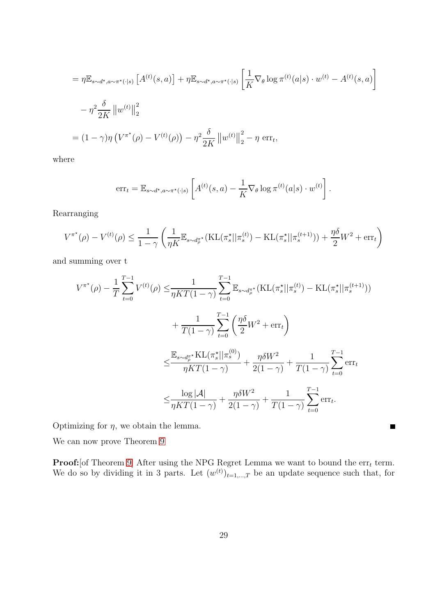$$
= \eta \mathbb{E}_{s \sim d^{\star}, a \sim \pi^{\star}(\cdot | s)} \left[ A^{(t)}(s, a) \right] + \eta \mathbb{E}_{s \sim d^{\star}, a \sim \pi^{\star}(\cdot | s)} \left[ \frac{1}{K} \nabla_{\theta} \log \pi^{(t)}(a | s) \cdot w^{(t)} - A^{(t)}(s, a) \right]
$$
  

$$
- \eta^2 \frac{\delta}{2K} ||w^{(t)}||_2^2
$$
  

$$
= (1 - \gamma) \eta \left( V^{\pi^{\star}}(\rho) - V^{(t)}(\rho) \right) - \eta^2 \frac{\delta}{2K} ||w^{(t)}||_2^2 - \eta \text{ err}_t,
$$

where

$$
\mathrm{err}_{t} = \mathbb{E}_{s \sim d^{\star}, a \sim \pi^{\star}(\cdot | s)} \left[ A^{(t)}(s, a) - \frac{1}{K} \nabla_{\theta} \log \pi^{(t)}(a | s) \cdot w^{(t)} \right].
$$

Rearranging

$$
V^{\pi^{\star}}(\rho) - V^{(t)}(\rho) \le \frac{1}{1-\gamma} \left( \frac{1}{\eta K} \mathbb{E}_{s \sim d_{\rho}^{\pi^{\star}}} (\mathrm{KL}(\pi^{\star}_s || \pi_s^{(t)}) - \mathrm{KL}(\pi^{\star}_s || \pi_s^{(t+1)})) + \frac{\eta \delta}{2} W^2 + \mathrm{err}_t \right)
$$

and summing over t

$$
V^{\pi^*}(\rho) - \frac{1}{T} \sum_{t=0}^{T-1} V^{(t)}(\rho) \leq \frac{1}{\eta KT(1-\gamma)} \sum_{t=0}^{T-1} \mathbb{E}_{s \sim d_{\rho}^{\pi^*}} (\text{KL}(\pi_s^* || \pi_s^{(t)}) - \text{KL}(\pi_s^* || \pi_s^{(t+1)}))
$$
  
+ 
$$
\frac{1}{T(1-\gamma)} \sum_{t=0}^{T-1} \left( \frac{\eta \delta}{2} W^2 + \text{err}_t \right)
$$
  

$$
\leq \frac{\mathbb{E}_{s \sim d_{\rho}^{\pi^*}} \text{KL}(\pi_s^* || \pi_s^{(0)})}{\eta KT(1-\gamma)} + \frac{\eta \delta W^2}{2(1-\gamma)} + \frac{1}{T(1-\gamma)} \sum_{t=0}^{T-1} \text{err}_t
$$
  

$$
\leq \frac{\log |\mathcal{A}|}{\eta KT(1-\gamma)} + \frac{\eta \delta W^2}{2(1-\gamma)} + \frac{1}{T(1-\gamma)} \sum_{t=0}^{T-1} \text{err}_t.
$$

Optimizing for  $\eta$ , we obtain the lemma.

We can now prove Theorem [9](#page-9-0)

**Proof:**[of Theorem [9\]](#page-9-0) After using the NPG Regret Lemma we want to bound the  $\text{err}_t$  term. We do so by dividing it in 3 parts. Let  $(w^{(t)})_{t=1,\dots,T}$  be an update sequence such that, for

 $\blacksquare$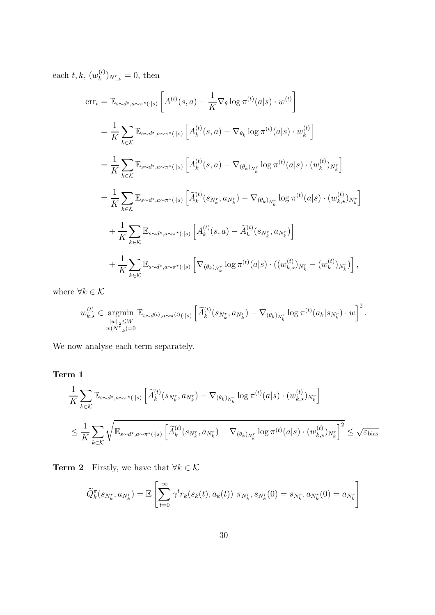each  $t, k, (w_k^{(t)}$  $\binom{u}{k}_{N_{-k}}^{V} = 0$ , then

$$
err_{t} = \mathbb{E}_{s \sim d^{*}, a \sim \pi^{*}(\cdot|s)} \left[ A^{(t)}(s, a) - \frac{1}{K} \nabla_{\theta} \log \pi^{(t)}(a|s) \cdot w^{(t)} \right]
$$
  
\n
$$
= \frac{1}{K} \sum_{k \in \mathcal{K}} \mathbb{E}_{s \sim d^{*}, a \sim \pi^{*}(\cdot|s)} \left[ A^{(t)}_{k}(s, a) - \nabla_{\theta_{k}} \log \pi^{(t)}(a|s) \cdot w^{(t)}_{k} \right]
$$
  
\n
$$
= \frac{1}{K} \sum_{k \in \mathcal{K}} \mathbb{E}_{s \sim d^{*}, a \sim \pi^{*}(\cdot|s)} \left[ A^{(t)}_{k}(s, a) - \nabla_{(\theta_{k})_{N_{k}^{r}}} \log \pi^{(t)}(a|s) \cdot (w_{k}^{(t)})_{N_{k}^{r}} \right]
$$
  
\n
$$
= \frac{1}{K} \sum_{k \in \mathcal{K}} \mathbb{E}_{s \sim d^{*}, a \sim \pi^{*}(\cdot|s)} \left[ \widetilde{A}^{(t)}_{k}(s_{N_{k}^{r}}, a_{N_{k}^{r}}) - \nabla_{(\theta_{k})_{N_{k}^{r}}} \log \pi^{(t)}(a|s) \cdot (w_{k,x}^{(t)})_{N_{k}^{r}} \right]
$$
  
\n
$$
+ \frac{1}{K} \sum_{k \in \mathcal{K}} \mathbb{E}_{s \sim d^{*}, a \sim \pi^{*}(\cdot|s)} \left[ A^{(t)}_{k}(s, a) - \widetilde{A}^{(t)}_{k}(s_{N_{k}^{r}}, a_{N_{k}^{r}}) \right]
$$
  
\n
$$
+ \frac{1}{K} \sum_{k \in \mathcal{K}} \mathbb{E}_{s \sim d^{*}, a \sim \pi^{*}(\cdot|s)} \left[ \nabla_{(\theta_{k})_{N_{k}^{r}}} \log \pi^{(t)}(a|s) \cdot ((w_{k,x}^{(t)})_{N_{k}^{r}} - (w_{k}^{(t)})_{N_{k}^{r}}) \right],
$$

where  $\forall k \in \mathcal{K}$ 

$$
w_{k,\star}^{(t)} \in \underset{\substack{\|w\|_2 \le W \\ w(N_{-k}^r) = 0}}{\operatorname{argmin}} \mathbb{E}_{s \sim d^{(t)}, a \sim \pi^{(t)}(\cdot | s)} \left[ \widetilde{A}_k^{(t)}(s_{N_k^r}, a_{N_k^r}) - \nabla_{(\theta_k)_{N_k^r}} \log \pi^{(t)}(a_k | s_{N_k^r}) \cdot w \right]^2.
$$

We now analyse each term separately.

#### Term 1

$$
\frac{1}{K} \sum_{k \in \mathcal{K}} \mathbb{E}_{s \sim d^{\star}, a \sim \pi^{\star}(\cdot | s)} \left[ \tilde{A}_{k}^{(t)}(s_{N_{k}^{r}}, a_{N_{k}^{r}}) - \nabla_{(\theta_{k})_{N_{k}^{r}}} \log \pi^{(t)}(a|s) \cdot (w_{k,\star}^{(t)})_{N_{k}^{r}} \right]
$$
\n
$$
\leq \frac{1}{K} \sum_{k \in \mathcal{K}} \sqrt{\mathbb{E}_{s \sim d^{\star}, a \sim \pi^{\star}(\cdot | s)} \left[ \tilde{A}_{k}^{(t)}(s_{N_{k}^{r}}, a_{N_{k}^{r}}) - \nabla_{(\theta_{k})_{N_{k}^{r}}} \log \pi^{(t)}(a|s) \cdot (w_{k,\star}^{(t)})_{N_{k}^{r}} \right]^{2}} \leq \sqrt{\varepsilon_{\text{bias}}}
$$

**Term 2** Firstly, we have that  $\forall k \in \mathcal{K}$ 

$$
\widetilde{Q}_{k}^{\pi}(s_{N_{k}^{r}}, a_{N_{k}^{r}}) = \mathbb{E}\left[\sum_{t=0}^{\infty} \gamma^{t} r_{k}(s_{k}(t), a_{k}(t)) | \pi_{N_{k}^{r}}, s_{N_{k}^{r}}(0) = s_{N_{k}^{r}}, a_{N_{k}^{r}}(0) = a_{N_{k}^{r}}\right]
$$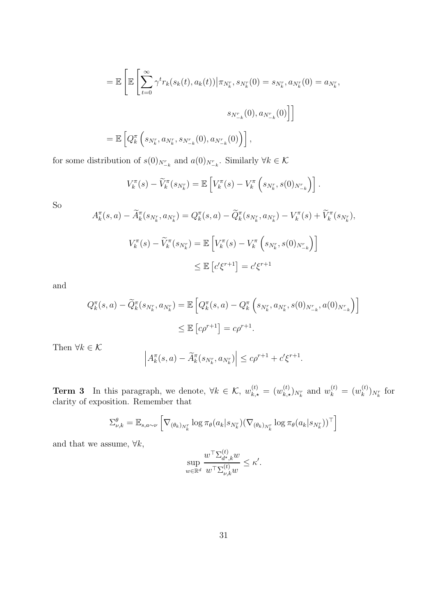$$
= \mathbb{E} \left[ \mathbb{E} \left[ \sum_{t=0}^{\infty} \gamma^t r_k(s_k(t), a_k(t)) \big| \pi_{N_k^r}, s_{N_k^r}(0) = s_{N_k^r}, a_{N_k^r}(0) = a_{N_k^r}, \right. \\
 \left. s_{N_{-k}^r}(0), a_{N_{-k}^r}(0) \right] \right]
$$
\n
$$
= \mathbb{E} \left[ Q_k^{\pi} \left( s_{N_k^r}, a_{N_k^r}, s_{N_{-k}^r}(0), a_{N_{-k}^r}(0) \right) \right],
$$

for some distribution of  $s(0)_{N_{-k}^r}$  and  $a(0)_{N_{-k}^r}$ . Similarly  $\forall k \in \mathcal{K}$ 

$$
V_k^{\pi}(s) - \widetilde{V}_k^{\pi}(s_{N_k^r}) = \mathbb{E}\left[V_k^{\pi}(s) - V_k^{\pi}\left(s_{N_k^r}, s(0)_{N_{-k}^r}\right)\right].
$$

So

$$
A_k^{\pi}(s, a) - \widetilde{A}_k^{\pi}(s_{N_k^r}, a_{N_k^r}) = Q_k^{\pi}(s, a) - \widetilde{Q}_k^{\pi}(s_{N_k^r}, a_{N_k^r}) - V_k^{\pi}(s) + \widetilde{V}_k^{\pi}(s_{N_k^r}),
$$
  

$$
V_k^{\pi}(s) - \widetilde{V}_k^{\pi}(s_{N_k^r}) = \mathbb{E}\left[V_k^{\pi}(s) - V_k^{\pi}(s_{N_k^r}, s(0)_{N_{-k}^r})\right]
$$
  

$$
\leq \mathbb{E}\left[c'\xi^{r+1}\right] = c'\xi^{r+1}
$$

and

$$
Q_k^{\pi}(s, a) - \widetilde{Q}_k^{\pi}(s_{N_k^r}, a_{N_k^r}) = \mathbb{E}\left[Q_k^{\pi}(s, a) - Q_k^{\pi}\left(s_{N_k^r}, a_{N_k^r}, s(0)_{N_{-k}^r}, a(0)_{N_{-k}^r}\right)\right]
$$
  

$$
\leq \mathbb{E}\left[c\rho^{r+1}\right] = c\rho^{r+1}.
$$

Then  $\forall k \in \mathcal{K}$ 

$$
\left| A_k^{\pi}(s, a) - \widetilde{A}_k^{\pi}(s_{N_k^r}, a_{N_k^r}) \right| \le c\rho^{r+1} + c'\xi^{r+1}.
$$

**Term 3** In this paragraph, we denote,  $\forall k \in \mathcal{K}$ ,  $w_{k,\star}^{(t)} = (w_{k,\star}^{(t)})_{N_k^r}$  and  $w_k^{(t)} = (w_k^{(t)})_{N_k^r}$  $\binom{t}{k}N_k^r$  for clarity of exposition. Remember that

$$
\Sigma_{\nu,k}^{\theta} = \mathbb{E}_{s,a \sim \nu} \left[ \nabla_{(\theta_k)_{N_k^r}} \log \pi_{\theta}(a_k | s_{N_k^r}) (\nabla_{(\theta_k)_{N_k^r}} \log \pi_{\theta}(a_k | s_{N_k^r}))^{\top} \right]
$$

and that we assume,  $\forall k$ ,

$$
\sup_{w\in\mathbb{R}^d}\frac{w^\top \Sigma_{d^\star,k}^{(t)}w}{w^\top \Sigma_{\nu,k}^{(t)}w}\leq \kappa'.
$$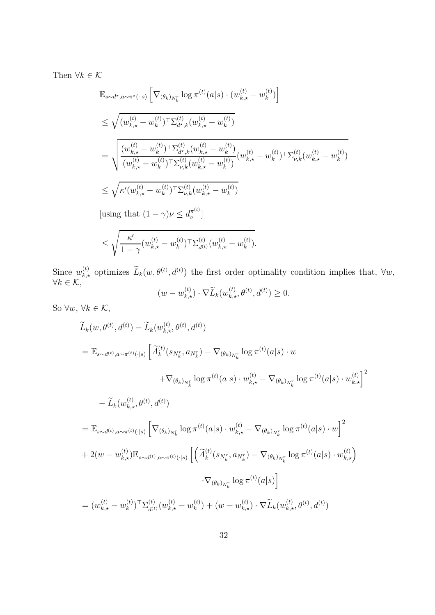Then  $\forall k \in \mathcal{K}$ 

$$
\mathbb{E}_{s \sim d^{\star}, a \sim \pi^{\star}(\cdot | s)} \left[ \nabla_{(\theta_k)_{N_k^r}} \log \pi^{(t)}(a | s) \cdot (w_{k, \star}^{(t)} - w_k^{(t)}) \right]
$$
\n
$$
\leq \sqrt{(w_{k, \star}^{(t)} - w_k^{(t)})^{\top} \Sigma_{d^{\star}, k}^{(t)} (w_{k, \star}^{(t)} - w_k^{(t)})}
$$
\n
$$
= \sqrt{\frac{(w_{k, \star}^{(t)} - w_k^{(t)})^{\top} \Sigma_{d^{\star}, k}^{(t)} (w_{k, \star}^{(t)} - w_k^{(t)})}{(w_{k, \star}^{(t)} - w_k^{(t)})^{\top} \Sigma_{\nu, k}^{(t)} (w_{k, \star}^{(t)} - w_k^{(t)})}} (w_{k, \star}^{(t)} - w_k^{(t)})^{\top} \Sigma_{\nu, k}^{(t)} (w_{k, \star}^{(t)} - w_k^{(t)})}
$$
\n
$$
\leq \sqrt{\kappa'(w_{k, \star}^{(t)} - w_k^{(t)})^{\top} \Sigma_{\nu, k}^{(t)} (w_{k, \star}^{(t)} - w_k^{(t)})}
$$
\n[using that  $(1 - \gamma) \nu \leq d_{\nu}^{\pi^{(t)}}]$   
\n
$$
\leq \sqrt{\frac{\kappa'}{1 - \gamma} (w_{k, \star}^{(t)} - w_k^{(t)})^{\top} \Sigma_{d^{(t)}}^{(t)} (w_{k, \star}^{(t)} - w_k^{(t)})}.
$$

Since  $w_{k,\star}^{(t)}$  optimizes  $\widetilde{L}_k(w, \theta^{(t)}, d^{(t)})$  the first order optimality condition implies that,  $\forall w$ ,  $\forall k \in \mathcal{K},$ <br> $(w - w_{k, \star}^{(t)}) \cdot \nabla \widetilde{L}_k(w_{k, \star}^{(t)}, \theta^{(t)}, d^{(t)})$ 

$$
(w - w_{k,\star}^{(t)}) \cdot \nabla \widetilde{L}_k(w_{k,\star}^{(t)}, \theta^{(t)}, d^{(t)}) \ge 0.
$$

So  $\forall w,\,\forall k\in\mathcal{K},$ 

$$
\widetilde{L}_{k}(w, \theta^{(t)}, d^{(t)}) - \widetilde{L}_{k}(w_{k,\star}^{(t)}, \theta^{(t)}, d^{(t)})
$$
\n
$$
= \mathbb{E}_{s \sim d^{(t)}, a \sim \pi^{(t)}(\cdot|s)} \left[ \widetilde{A}_{k}^{(t)}(s_{N_{k}^{r}}, a_{N_{k}^{r}}) - \nabla_{(\theta_{k})_{N_{k}^{r}}} \log \pi^{(t)}(a|s) \cdot w + \nabla_{(\theta_{k})_{N_{k}^{r}}} \log \pi^{(t)}(a|s) \cdot w_{k,\star}^{(t)} - \widetilde{L}_{k}(w_{k,\star}^{(t)}, \theta^{(t)}, d^{(t)}) \right]
$$
\n
$$
- \widetilde{L}_{k}(w_{k,\star}^{(t)}, \theta^{(t)}, d^{(t)})
$$
\n
$$
= \mathbb{E}_{s \sim d^{(t)}, a \sim \pi^{(t)}(\cdot|s)} \left[ \nabla_{(\theta_{k})_{N_{k}^{r}}} \log \pi^{(t)}(a|s) \cdot w_{k,\star}^{(t)} - \nabla_{(\theta_{k})_{N_{k}^{r}}} \log \pi^{(t)}(a|s) \cdot w \right]^{2}
$$
\n
$$
+ 2(w - w_{k,\star}^{(t)}) \mathbb{E}_{s \sim d^{(t)}, a \sim \pi^{(t)}(\cdot|s)} \left[ \left( \widetilde{A}_{k}^{(t)}(s_{N_{k}^{r}}, a_{N_{k}^{r}}) - \nabla_{(\theta_{k})_{N_{k}^{r}}} \log \pi^{(t)}(a|s) \cdot w_{k,\star}^{(t)} \right) \cdot \nabla_{(\theta_{k})_{N_{k}^{r}}} \log \pi^{(t)}(a|s) \right]
$$
\n
$$
= (w_{k,\star}^{(t)} - w_{k}^{(t)})^{\top} \Sigma_{d^{(t)}}^{(t)}(w_{k,\star}^{(t)} - w_{k}^{(t)}) + (w - w_{k,\star}^{(t)}) \cdot \nabla \widetilde{L}_{k}(w_{k,\star}^{(t)}, \theta^{(t)}, d^{(t)})
$$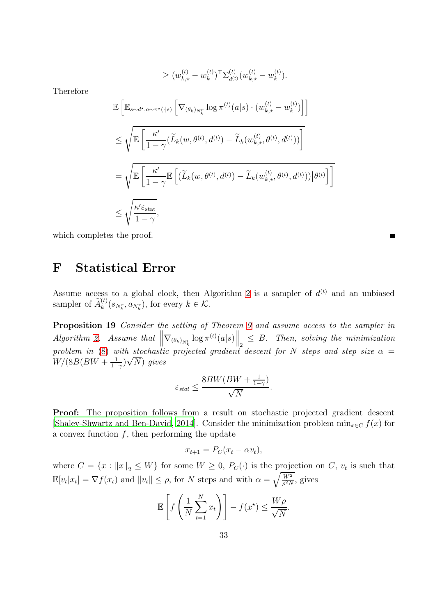$$
\geq (w_{k,\star}^{(t)} - w_k^{(t)})^\top \Sigma_{d^{(t)}}^{(t)} (w_{k,\star}^{(t)} - w_k^{(t)}).
$$

Therefore

$$
\mathbb{E}\left[\mathbb{E}_{s\sim d^\star, a\sim\pi^\star(\cdot|s)}\left[\nabla_{(\theta_k)_{N_k^r}}\log\pi^{(t)}(a|s)\cdot(w_{k,\star}^{(t)}-w_k^{(t)})\right]\right]
$$
\n
$$
\leq \sqrt{\mathbb{E}\left[\frac{\kappa'}{1-\gamma}(\widetilde{L}_k(w,\theta^{(t)},d^{(t)})-\widetilde{L}_k(w_{k,\star}^{(t)},\theta^{(t)},d^{(t)}))\right]}
$$
\n
$$
=\sqrt{\mathbb{E}\left[\frac{\kappa'}{1-\gamma}\mathbb{E}\left[(\widetilde{L}_k(w,\theta^{(t)},d^{(t)})-\widetilde{L}_k(w_{k,\star}^{(t)},\theta^{(t)},d^{(t)}))|\theta^{(t)}\right]\right]}
$$
\n
$$
\leq \sqrt{\frac{\kappa'\varepsilon_{\text{stat}}}{1-\gamma}},
$$

<span id="page-32-0"></span>which completes the proof.

#### F Statistical Error

Assume access to a global clock, then Algorithm [2](#page-33-0) is a sampler of  $d^{(t)}$  and an unbiased sampler of  $\widetilde{A}_k^{(t)}(s_{N_k^r}, a_{N_k^r}),$  for every  $k \in \mathcal{K}$ .

П

Proposition 19 Consider the setting of Theorem [9](#page-9-0) and assume access to the sampler in  $Algorithm 2. Assume that  $\left\|\nabla_{(\theta_k)_{N_k^r}}\log \pi^{(t)}(a|s)\right\|_2 \leq B$ . Then, solving the minimization$  $Algorithm 2. Assume that  $\left\|\nabla_{(\theta_k)_{N_k^r}}\log \pi^{(t)}(a|s)\right\|_2 \leq B$ . Then, solving the minimization$  $Algorithm 2. Assume that  $\left\|\nabla_{(\theta_k)_{N_k^r}}\log \pi^{(t)}(a|s)\right\|_2 \leq B$ . Then, solving the minimization$ problem in [\(8\)](#page-9-1) with stochastic projected gradient descent for N steps and step size  $\alpha =$  $W/(8B(BW+\frac{1}{1-}))$  $\frac{1}{1-\gamma}$ ) $\sqrt{N}$ ) gives

$$
\varepsilon_{stat} \leq \frac{8BW(BW + \frac{1}{1-\gamma})}{\sqrt{N}}.
$$

Proof: The proposition follows from a result on stochastic projected gradient descent [\[Shalev-Shwartz and Ben-David](#page-15-12), [2014\]](#page-15-12). Consider the minimization problem  $\min_{x \in C} f(x)$  for a convex function  $f$ , then performing the update

$$
x_{t+1} = P_C(x_t - \alpha v_t),
$$

where  $C = \{x : ||x||_2 \leq W\}$  for some  $W \geq 0$ ,  $P_C(\cdot)$  is the projection on C,  $v_t$  is such that  $\mathbb{E}[v_t|x_t] = \nabla f(x_t)$  and  $||v_t|| \leq \rho$ , for N steps and with  $\alpha = \sqrt{\frac{W^2}{\rho^2 N}}$  $\frac{W^2}{\rho^2 N}$ , gives

$$
\mathbb{E}\left[f\left(\frac{1}{N}\sum_{t=1}^{N}x_{t}\right)\right] - f(x^{\star}) \leq \frac{W\rho}{\sqrt{N}}.
$$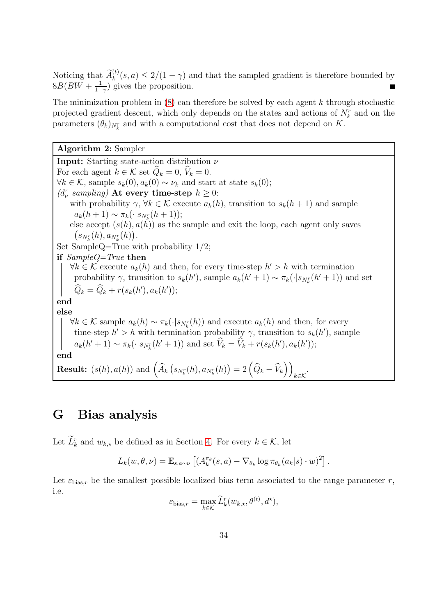Noticing that  $\tilde{A}_k^{(t)}(s, a) \leq 2/(1 - \gamma)$  and that the sampled gradient is therefore bounded by  $8B(BW + \frac{1}{1-})$  $\frac{1}{1-\gamma}$ ) gives the proposition.

The minimization problem in  $(8)$  can therefore be solved by each agent k through stochastic projected gradient descent, which only depends on the states and actions of  $N_k^r$  and on the parameters  $(\theta_k)_{N_k^r}$  and with a computational cost that does not depend on K.

<span id="page-33-0"></span>Algorithm 2: Sampler

**Input:** Starting state-action distribution  $\nu$ For each agent  $k \in \mathcal{K}$  set  $\widehat{Q}_k = 0$ ,  $\widehat{V}_k = 0$ .  $\forall k \in \mathcal{K}$ , sample  $s_k(0), a_k(0) \sim \nu_k$  and start at state  $s_k(0)$ ;  $(d^{\pi}_{\nu} \text{ sampling})$  At every time-step  $h \geq 0$ : with probability  $\gamma$ ,  $\forall k \in \mathcal{K}$  execute  $a_k(h)$ , transition to  $s_k(h+1)$  and sample  $a_k(h+1) \sim \pi_k(\cdot|s_{N_k^r}(h+1));$ else accept  $(s(h), a(h))$  as the sample and exit the loop, each agent only saves  $(s_{N_k^r}(h), a_{N_k^r}(h)).$ Set SampleQ=True with probability 1/2; if SampleQ=True then  $\forall k \in \mathcal{K}$  execute  $a_k(h)$  and then, for every time-step  $h' > h$  with termination probability  $\gamma$ , transition to  $s_k(h')$ , sample  $a_k(h'+1) \sim \pi_k(\cdot|s_{N_k}(h'+1))$  and set  $Q_k = Q_k + r(s_k(h'), a_k(h'));$ end else  $\forall k \in \mathcal{K}$  sample  $a_k(h) \sim \pi_k(\cdot|s_{N_k}(h))$  and execute  $a_k(h)$  and then, for every time-step  $h' > h$  with termination probability  $\gamma$ , transition to  $s_k(h')$ , sample  $a_k(h' + 1) \sim \pi_k(\cdot | s_{N_k}(h' + 1))$  and set  $V_k = V_k + r(s_k(h'), a_k(h'))$ ; end **Result:**  $(s(h), a(h))$  and  $\left(\widehat{A}_k(s_{N_k^r}(h), a_{N_k^r}(h)) = 2\left(\widehat{Q}_k - \widehat{V}_k\right)\right)$  $k \in \mathcal{K}$ .

#### <span id="page-33-1"></span>G Bias analysis

Let  $\overline{L}_k^r$  and  $w_{k, \star}$  be defined as in Section [4.](#page-9-3) For every  $k \in \mathcal{K}$ , let

$$
L_k(w, \theta, \nu) = \mathbb{E}_{s, a \sim \nu} \left[ \left( A_k^{\pi_{\theta}}(s, a) - \nabla_{\theta_k} \log \pi_{\theta_k}(a_k | s) \cdot w \right)^2 \right].
$$

Let  $\varepsilon_{\text{bias},r}$  be the smallest possible localized bias term associated to the range parameter r, i.e.

$$
\varepsilon_{\text{bias},r} = \max_{k \in \mathcal{K}} \widetilde{L}_k^r(w_{k,\star}, \theta^{(t)}, d^{\star}),
$$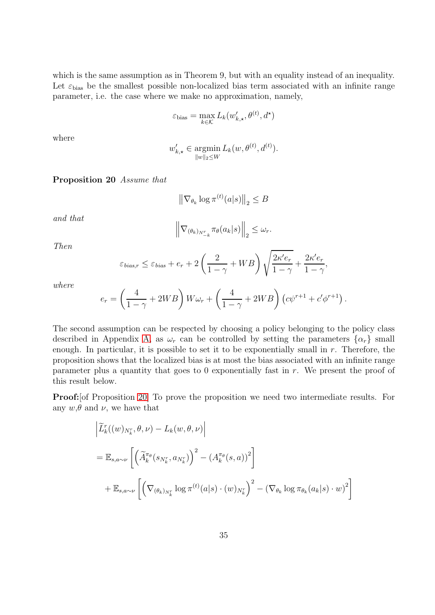which is the same assumption as in Theorem 9, but with an equality instead of an inequality. Let  $\varepsilon_{\text{bias}}$  be the smallest possible non-localized bias term associated with an infinite range parameter, i.e. the case where we make no approximation, namely,

$$
\varepsilon_{\text{bias}} = \max_{k \in \mathcal{K}} L_k(w'_{k,\star}, \theta^{(t)}, d^{\star})
$$

where

$$
w'_{k,\star} \in \operatorname*{argmin}_{\|w\|_2 \le W} L_k(w, \theta^{(t)}, d^{(t)}).
$$

<span id="page-34-0"></span>Proposition 20 Assume that

$$
\left\|\nabla_{\theta_k}\log\pi^{(t)}(a|s)\right\|_2\leq B
$$

and that

$$
\left\|\nabla_{(\theta_k)_{N_{-k}^r}} \pi_{\theta}(a_k|s)\right\|_2 \leq \omega_r.
$$

Then

$$
\varepsilon_{bias,r} \le \varepsilon_{bias} + e_r + 2\left(\frac{2}{1-\gamma} + WB\right)\sqrt{\frac{2\kappa' e_r}{1-\gamma}} + \frac{2\kappa' e_r}{1-\gamma},
$$

where

$$
e_r = \left(\frac{4}{1-\gamma} + 2WB\right) W\omega_r + \left(\frac{4}{1-\gamma} + 2WB\right) \left(c\psi^{r+1} + c'\phi^{r+1}\right).
$$

The second assumption can be respected by choosing a policy belonging to the policy class described in Appendix [A,](#page-17-0) as  $\omega_r$  can be controlled by setting the parameters  $\{\alpha_r\}$  small enough. In particular, it is possible to set it to be exponentially small in  $r$ . Therefore, the proposition shows that the localized bias is at most the bias associated with an infinite range parameter plus a quantity that goes to 0 exponentially fast in  $r$ . We present the proof of this result below.

Proof:[of Proposition [20\]](#page-34-0) To prove the proposition we need two intermediate results. For any  $w, \theta$  and  $\nu$ , we have that

$$
\left| \widetilde{L}_{k}^{r}((w)_{N_{k}^{r}}, \theta, \nu) - L_{k}(w, \theta, \nu) \right|
$$
  
=  $\mathbb{E}_{s,a \sim \nu} \left[ \left( \widetilde{A}_{k}^{\pi_{\theta}}(s_{N_{k}^{r}}, a_{N_{k}^{r}}) \right)^{2} - \left( A_{k}^{\pi_{\theta}}(s, a) \right)^{2} \right]$   
+  $\mathbb{E}_{s,a \sim \nu} \left[ \left( \nabla_{(\theta_{k})_{N_{k}^{r}}} \log \pi^{(t)}(a|s) \cdot (w)_{N_{k}^{r}} \right)^{2} - \left( \nabla_{\theta_{k}} \log \pi_{\theta_{k}}(a_{k}|s) \cdot w \right)^{2} \right]$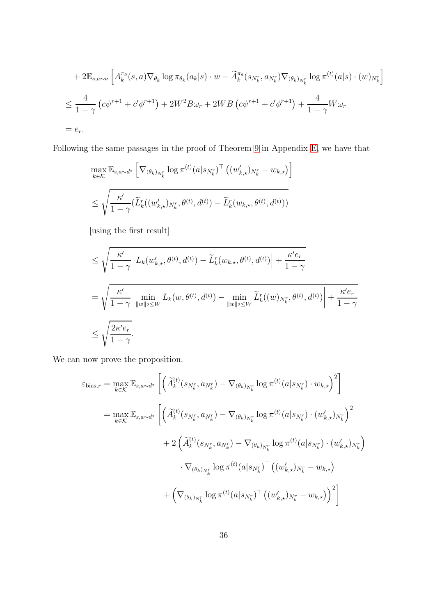+2
$$
\mathbb{E}_{s,a\sim\nu}
$$
  $\left[A_k^{\pi_\theta}(s,a)\nabla_{\theta_k}\log\pi_{\theta_k}(a_k|s)\cdot w - \widetilde{A}_k^{\pi_\theta}(s_{N_k^r},a_{N_k^r})\nabla_{(\theta_k)_{N_k^r}}\log\pi^{(t)}(a|s)\cdot(w)_{N_k^r}\right]$   
\n $\leq \frac{4}{1-\gamma}\left(c\psi^{r+1}+c'\phi^{r+1}\right)+2W^2B\omega_r+2WB\left(c\psi^{r+1}+c'\phi^{r+1}\right)+\frac{4}{1-\gamma}W\omega_r$   
\n $= e_r.$ 

Following the same passages in the proof of Theorem [9](#page-9-0) in Appendix [E,](#page-27-0) we have that

$$
\max_{k \in \mathcal{K}} \mathbb{E}_{s,a \sim d^{\star}} \left[ \nabla_{(\theta_k)_{N_k^r}} \log \pi^{(t)}(a|s_{N_k^r})^{\top} \left( (w'_{k,\star})_{N_k^r} - w_{k,\star} \right) \right]
$$
  

$$
\leq \sqrt{\frac{\kappa'}{1-\gamma} (\widetilde{L}_k^r((w'_{k,\star})_{N_k^r}, \theta^{(t)}, d^{(t)}) - \widetilde{L}_k^r(w_{k,\star}, \theta^{(t)}, d^{(t)}))}
$$

[using the first result]

$$
\leq \sqrt{\frac{\kappa'}{1-\gamma}} \left| L_k(w'_{k,\star}, \theta^{(t)}, d^{(t)}) - \widetilde{L}_k^r(w_{k,\star}, \theta^{(t)}, d^{(t)}) \right| + \frac{\kappa' e_r}{1-\gamma}
$$
\n
$$
= \sqrt{\frac{\kappa'}{1-\gamma}} \left| \min_{\|w\|_2 \leq W} L_k(w, \theta^{(t)}, d^{(t)}) - \min_{\|w\|_2 \leq W} \widetilde{L}_k^r((w)_{N_k^r}, \theta^{(t)}, d^{(t)}) \right| + \frac{\kappa' e_r}{1-\gamma}
$$
\n
$$
\leq \sqrt{\frac{2\kappa' e_r}{1-\gamma}}.
$$

We can now prove the proposition.

$$
\varepsilon_{\text{bias},r} = \max_{k \in \mathcal{K}} \mathbb{E}_{s,a \sim d^{\star}} \left[ \left( \widetilde{A}_{k}^{(t)}(s_{N_{k}^{r}}, a_{N_{k}^{r}}) - \nabla_{(\theta_{k})_{N_{k}^{r}}} \log \pi^{(t)}(a|s_{N_{k}^{r}}) \cdot w_{k,\star} \right)^{2} \right]
$$
  
\n
$$
= \max_{k \in \mathcal{K}} \mathbb{E}_{s,a \sim d^{\star}} \left[ \left( \widetilde{A}_{k}^{(t)}(s_{N_{k}^{r}}, a_{N_{k}^{r}}) - \nabla_{(\theta_{k})_{N_{k}^{r}}} \log \pi^{(t)}(a|s_{N_{k}^{r}}) \cdot (w_{k,\star}^{\prime})_{N_{k}^{r}} \right)^{2} \right. \\ \left. + 2 \left( \widetilde{A}_{k}^{(t)}(s_{N_{k}^{r}}, a_{N_{k}^{r}}) - \nabla_{(\theta_{k})_{N_{k}^{r}}} \log \pi^{(t)}(a|s_{N_{k}^{r}}) \cdot (w_{k,\star}^{\prime})_{N_{k}^{r}} \right) \right. \\ \left. + \left( \nabla_{(\theta_{k})_{N_{k}^{r}}} \log \pi^{(t)}(a|s_{N_{k}^{r}}) \right)^{T} \left( (w_{k,\star}^{\prime})_{N_{k}^{r}} - w_{k,\star} \right) \right)^{2} \right]
$$